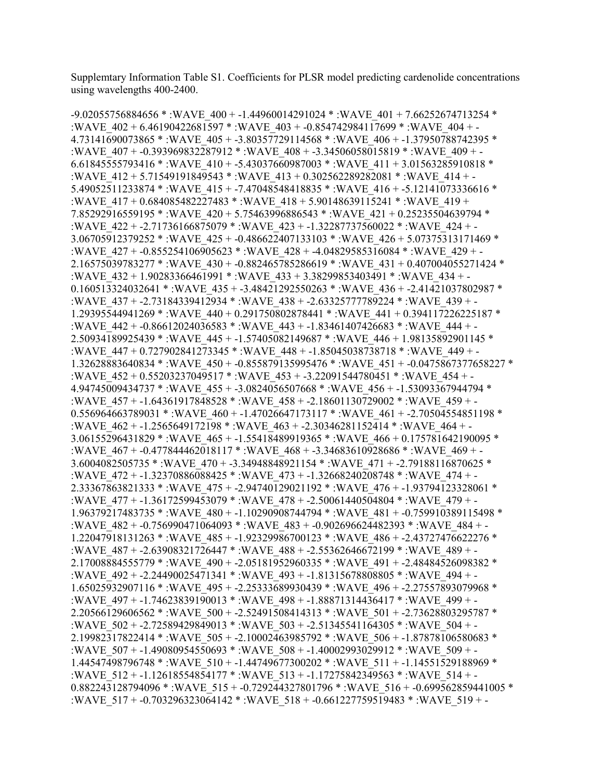Supplemtary Information Table S1. Coefficients for PLSR model predicting cardenolide concentrations using wavelengths 400-2400.

-9.02055756884656 \* :WAVE\_400 + -1.44960014291024 \* :WAVE\_401 + 7.66252674713254 \* :WAVE\_402 + 6.46190422681597 \* :WAVE\_403 + -0.854742984117699 \* :WAVE\_404 + - 4.73141690073865 \* :WAVE\_405 + -3.80357729114568 \* :WAVE\_406 + -1.37950788742395 \* :WAVE\_407 + -0.393969832287912 \* :WAVE\_408 + -3.34506058015819 \* :WAVE\_409 + -6.61845555793416 \* :WAVE\_410 + -5.43037660987003 \* :WAVE\_411 + 3.01563285910818 \* :WAVE\_412 + 5.71549191849543 \* :WAVE\_413 + 0.302562289282081 \* :WAVE\_414 + - 5.49052511233874 \* :WAVE\_415 + -7.47048548418835 \* :WAVE\_416 + -5.12141073336616 \* :WAVE\_417 + 0.684085482227483 \* :WAVE\_418 + 5.90148639115241 \* :WAVE\_419 + 7.85292916559195 \* :WAVE\_420 + 5.75463996886543 \* :WAVE\_421 + 0.25235504639794 \* :WAVE\_422 + -2.71736166875079 \* :WAVE\_423 + -1.32287737560022 \* :WAVE\_424 + - 3.06705912379252 \* :WAVE\_425 + -0.486622407133103 \* :WAVE\_426 + 5.07375313171469 \* :WAVE\_427 + -0.855254106905623 \* :WAVE\_428 + -4.04829585316084 \* :WAVE\_429 + - 2.16575039783277 \* :WAVE\_430 + -0.882465785286619 \* :WAVE\_431 + 0.407004055271424 \* :WAVE\_432 + 1.90283366461991 \* :WAVE\_433 + 3.38299853403491 \* :WAVE\_434 + -0.160513324032641 \* :WAVE\_435 + -3.48421292550263 \* :WAVE\_436 + -2.41421037802987 \* :WAVE\_437 + -2.73184339412934 \* :WAVE\_438 + -2.63325777789224 \* :WAVE\_439 + - 1.29395544941269 \* :WAVE\_440 + 0.291750802878441 \* :WAVE\_441 + 0.394117226225187 \* :WAVE\_442 + -0.86612024036583 \* :WAVE\_443 + -1.83461407426683 \* :WAVE\_444 + - 2.50934189925439 \* :WAVE\_445 + -1.57405082149687 \* :WAVE\_446 + 1.98135892901145 \* :WAVE\_447 + 0.727902841273345 \* :WAVE\_448 + -1.85045038738718 \* :WAVE\_449 + - 1.32628883640834 \* :WAVE\_450 + -0.855879135995476 \* :WAVE\_451 + -0.0475867377658227 \* :WAVE\_452 + 0.55203237049517 \* :WAVE\_453 + -3.22091544780451 \* :WAVE\_454 + - 4.94745009434737 \* :WAVE\_455 + -3.0824056507668 \* :WAVE\_456 + -1.53093367944794 \* :WAVE\_457 + -1.64361917848528 \* :WAVE\_458 + -2.18601130729002 \* :WAVE\_459 + - 0.556964663789031 \*: WAVE\_460 + -1.47026647173117 \*: WAVE\_461 + -2.70504554851198 \* :WAVE\_462 + -1.2565649172198 \* :WAVE\_463 + -2.30346281152414 \* :WAVE\_464 + - 3.06155296431829 \* :WAVE\_465 + -1.55418489919365 \* :WAVE\_466 + 0.175781642190095 \* :WAVE\_467 + -0.477844462018117 \* :WAVE\_468 + -3.34683610928686 \* :WAVE\_469 + - 3.6004082505735 \* :WAVE\_470 + -3.34948848921154 \* :WAVE\_471 + -2.79188116870625 \* :WAVE\_472 + -1.32370886088425 \* :WAVE\_473 + -1.32668240208748 \* :WAVE\_474 + - 2.33367863821333 \* :WAVE\_475 + -2.94740129021192 \* :WAVE\_476 + -1.93794123328061 \* :WAVE\_477 + -1.36172599453079 \* :WAVE\_478 + -2.50061440504804 \* :WAVE\_479 + - 1.96379217483735 \* :WAVE\_480 + -1.10290908744794 \* :WAVE\_481 + -0.759910389115498 \* :WAVE\_482 + -0.756990471064093 \* :WAVE\_483 + -0.902696624482393 \* :WAVE\_484 + - 1.22047918131263 \* :WAVE\_485 + -1.92329986700123 \* :WAVE\_486 + -2.43727476622276 \* :WAVE\_487 + -2.63908321726447 \* :WAVE\_488 + -2.55362646672199 \* :WAVE\_489 + - 2.17008884555779 \* :WAVE\_490 + -2.05181952960335 \* :WAVE\_491 + -2.48484526098382 \* :WAVE\_492 + -2.24490025471341 \* :WAVE\_493 + -1.81315678808805 \* :WAVE\_494 + - 1.65025932907116 \* :WAVE\_495 + -2.25333689930439 \* :WAVE\_496 + -2.27557893079968 \* :WAVE\_497 + -1.74623839190013 \* :WAVE\_498 + -1.88871314436417 \* :WAVE\_499 + - 2.20566129606562 \* :WAVE\_500 + -2.52491508414313 \* :WAVE\_501 + -2.73628803295787 \* :WAVE\_502 + -2.72589429849013 \* :WAVE\_503 + -2.51345541164305 \* :WAVE\_504 + - 2.19982317822414 \* :WAVE\_505 + -2.10002463985792 \* :WAVE\_506 + -1.87878106580683 \* :WAVE\_507 + -1.49080954550693 \* :WAVE\_508 + -1.40002993029912 \* :WAVE\_509 + - 1.44547498796748 \* :WAVE\_510 + -1.44749677300202 \* :WAVE\_511 + -1.14551529188969 \* :WAVE\_512 + -1.12618554854177 \* :WAVE\_513 + -1.17275842349563 \* :WAVE\_514 + - 0.882243128794096 \* :WAVE\_515 + -0.729244327801796 \* :WAVE\_516 + -0.699562859441005 \* :WAVE\_517 + -0.703296323064142 \* :WAVE\_518 + -0.661227759519483 \* :WAVE\_519 + -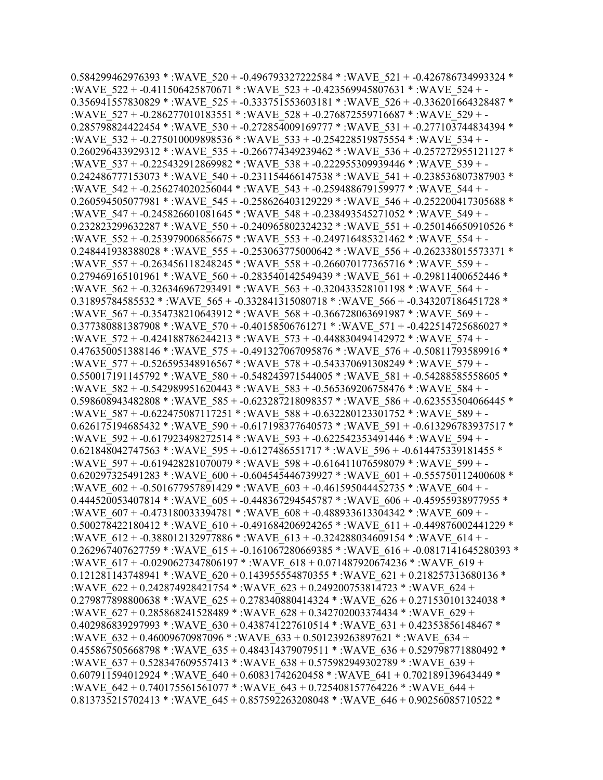0.584299462976393 \* :WAVE\_520 + -0.496793327222584 \* :WAVE\_521 + -0.426786734993324 \* :WAVE\_522 + -0.411506425870671 \* :WAVE\_523 + -0.423569945807631 \* :WAVE\_524 + - 0.356941557830829 \* :WAVE\_525 + -0.333751553603181 \* :WAVE\_526 + -0.336201664328487 \* :WAVE\_527 + -0.286277010183551 \* :WAVE\_528 + -0.276872559716687 \* :WAVE\_529 + -  $0.285798824422454$  \* :WAVE  $530 + 0.272854009169777$  \* :WAVE  $531 + 0.277103744834394$  \* :WAVE\_532 + -0.275010009898536 \* :WAVE\_533 + -0.254228519875554 \* :WAVE\_534 + - 0.260296433929312 \* :WAVE\_535 + -0.266774349239462 \* :WAVE\_536 + -0.257272955121127 \* :WAVE\_537 + -0.225432912869982 \* :WAVE\_538 + -0.222955309939446 \* :WAVE\_539 + - 0.242486777153073 \* :WAVE\_540 + -0.231154466147538 \* :WAVE\_541 + -0.238536807387903 \* :WAVE\_542 + -0.256274020256044 \* :WAVE\_543 + -0.259488679159977 \* :WAVE\_544 + - 0.260594505077981 \* :WAVE\_545 + -0.258626403129229 \* :WAVE\_546 + -0.252200417305688 \* :WAVE\_547 + -0.245826601081645 \* :WAVE\_548 + -0.238493545271052 \* :WAVE\_549 + - 0.232823299632287 \* :WAVE\_550 + -0.240965802324232 \* :WAVE\_551 + -0.250146650910526 \* :WAVE\_552 + -0.253979006856675 \* :WAVE\_553 + -0.249716485321462 \* :WAVE\_554 + - 0.248441938388028 \* :WAVE\_555 + -0.253063775000642 \* :WAVE\_556 + -0.262338015573371 \* :WAVE\_557 + -0.263456118248245 \* :WAVE\_558 + -0.266070177365716 \* :WAVE\_559 + - 0.279469165101961 \* :WAVE\_560 + -0.283540142549439 \* :WAVE\_561 + -0.29811400652446 \* :WAVE\_562 + -0.326346967293491 \* :WAVE\_563 + -0.320433528101198 \* :WAVE\_564 + - 0.31895784585532 \* :WAVE\_565 + -0.332841315080718 \* :WAVE\_566 + -0.343207186451728 \* :WAVE\_567 + -0.354738210643912 \* :WAVE\_568 + -0.366728063691987 \* :WAVE\_569 + - 0.377380881387908 \* :WAVE\_570 + -0.40158506761271 \* :WAVE\_571 + -0.422514725686027 \* :WAVE\_572 + -0.424188786244213 \* :WAVE\_573 + -0.448830494142972 \* :WAVE\_574 + - 0.476350051388146 \* :WAVE\_575 + -0.491327067095876 \* :WAVE\_576 + -0.50811793589916 \* :WAVE\_577 + -0.526595348916567 \* :WAVE\_578 + -0.543370691308249 \* :WAVE\_579 + - 0.550017191145792 \* :WAVE\_580 + -0.548243971544005 \* :WAVE\_581 + -0.54288585558605 \* :WAVE\_582 + -0.542989951620443 \* :WAVE\_583 + -0.565369206758476 \* :WAVE\_584 + - 0.598608943482808 \* :WAVE\_585 + -0.623287218098357 \* :WAVE\_586 + -0.623553504066445 \* :WAVE\_587 + -0.622475087117251 \* :WAVE\_588 + -0.632280123301752 \* :WAVE\_589 + - 0.626175194685432 \* :WAVE\_590 + -0.617198377640573 \* :WAVE\_591 + -0.613296783937517 \* :WAVE\_592 + -0.617923498272514 \* :WAVE\_593 + -0.622542353491446 \* :WAVE\_594 + - 0.621848042747563 \* :WAVE\_595 + -0.6127486551717 \* :WAVE\_596 + -0.614475339181455 \* :WAVE\_597 + -0.619428281070079 \* :WAVE\_598 + -0.616411076598079 \* :WAVE\_599 + - 0.620297325491283 \* :WAVE\_600 + -0.604545446739927 \* :WAVE\_601 + -0.555750112400608 \* :WAVE\_602 + -0.501677957891429 \* :WAVE\_603 + -0.461595044452735 \* :WAVE\_604 + -0.444520053407814 \* :WAVE\_605 + -0.448367294545787 \* :WAVE\_606 + -0.45955938977955 \* :WAVE\_607 + -0.473180033394781 \* :WAVE\_608 + -0.488933613304342 \* :WAVE\_609 + - 0.500278422180412 \* :WAVE\_610 + -0.491684206924265 \* :WAVE\_611 + -0.449876002441229 \* :WAVE\_612 + -0.388012132977886 \* :WAVE\_613 + -0.324288034609154 \* :WAVE\_614 + - 0.262967407627759 \* :WAVE\_615 + -0.161067280669385 \* :WAVE\_616 + -0.0817141645280393 \* :WAVE\_617 + -0.0290627347806197 \* :WAVE\_618 + 0.071487920674236 \* :WAVE\_619 + 0.121281143748941 \* :WAVE\_620 + 0.143955554870355 \* :WAVE\_621 + 0.218257313680136 \* :WAVE\_622 + 0.242874928421754 \* :WAVE\_623 + 0.249200753814723 \* :WAVE\_624 + 0.279877898800638 \* :WAVE\_625 + 0.278340880414324 \* :WAVE\_626 + 0.271530101324038 \* :WAVE\_627 + 0.285868241528489 \* :WAVE\_628 + 0.342702003374434 \* :WAVE\_629 + 0.402986839297993 \* :WAVE\_630 + 0.438741227610514 \* :WAVE\_631 + 0.42353856148467 \* :WAVE\_632 + 0.46009670987096 \* :WAVE\_633 + 0.501239263897621 \* :WAVE\_634 + 0.455867505668798 \* :WAVE\_635 + 0.484314379079511 \* :WAVE\_636 + 0.529798771880492 \* :WAVE\_637 + 0.528347609557413 \* :WAVE\_638 + 0.575982949302789 \* :WAVE\_639 + 0.607911594012924 \* :WAVE\_640 + 0.60831742620458 \* :WAVE\_641 + 0.702189139643449 \* :WAVE\_642 + 0.740175561561077 \* :WAVE\_643 + 0.725408157764226 \* :WAVE\_644 + 0.813735215702413 \* :WAVE\_645 + 0.857592263208048 \* :WAVE\_646 + 0.90256085710522 \*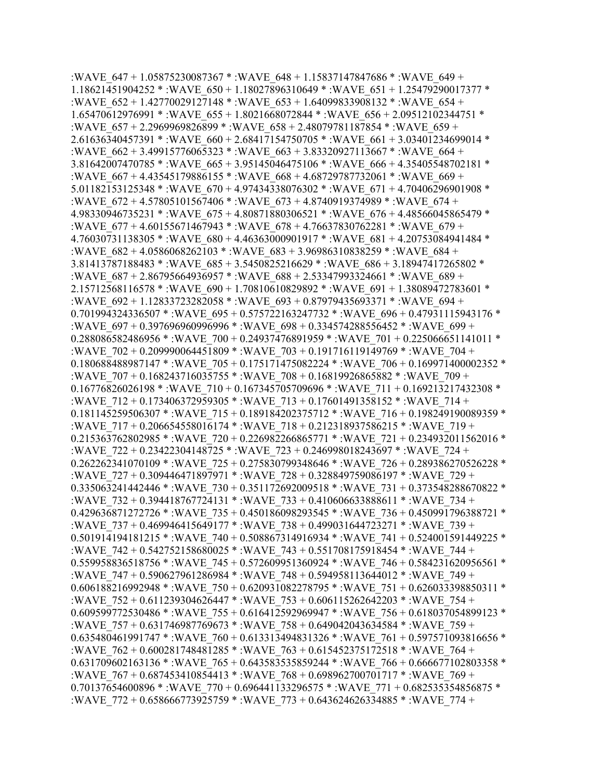:WAVE\_647 + 1.05875230087367 \* :WAVE\_648 + 1.15837147847686 \* :WAVE\_649 + 1.18621451904252 \* :WAVE\_650 + 1.18027896310649 \* :WAVE\_651 + 1.25479290017377 \* :WAVE\_652 + 1.42770029127148 \* :WAVE\_653 + 1.64099833908132 \* :WAVE\_654 + 1.65470612976991 \* :WAVE\_655 + 1.8021668072844 \* :WAVE\_656 + 2.09512102344751 \* :WAVE  $657 + 2.2969969826899 *$ :WAVE  $658 + 2.48079781187854 *$ :WAVE  $659 +$ 2.61636340457391 \* :WAVE\_660 + 2.68417154750705 \* :WAVE\_661 + 3.03401234699014 \* :WAVE\_662 + 3.49915776065323 \* :WAVE\_663 + 3.83320927113667 \* :WAVE\_664 + 3.81642007470785 \* :WAVE\_665 + 3.95145046475106 \* :WAVE\_666 + 4.35405548702181 \* :WAVE\_667 + 4.43545179886155 \* :WAVE\_668 + 4.68729787732061 \* :WAVE\_669 + 5.01182153125348 \* :WAVE\_670 + 4.97434338076302 \* :WAVE\_671 + 4.70406296901908 \* :WAVE\_672 + 4.57805101567406 \* :WAVE\_673 + 4.8740919374989 \* :WAVE\_674 + 4.98330946735231 \* :WAVE\_675 + 4.80871880306521 \* :WAVE\_676 + 4.48566045865479 \* :WAVE\_677 + 4.60155671467943 \* :WAVE\_678 + 4.76637830762281 \* :WAVE\_679 + 4.76030731138305 \* :WAVE\_680 + 4.46363000901917 \* :WAVE\_681 + 4.20753084941484 \* :WAVE\_682 + 4.0586068262103 \* :WAVE\_683 + 3.96986310838259 \* :WAVE\_684 + 3.81413787188483 \* :WAVE\_685 + 3.5450825216629 \* :WAVE\_686 + 3.18947417265802 \* :WAVE\_687 + 2.86795664936957 \* :WAVE\_688 + 2.53347993324661 \* :WAVE\_689 + 2.15712568116578 \* :WAVE\_690 + 1.70810610829892 \* :WAVE\_691 + 1.38089472783601 \* :WAVE\_692 + 1.12833723282058 \* :WAVE\_693 + 0.87979435693371 \* :WAVE\_694 + 0.701994324336507 \* :WAVE\_695 + 0.575722163247732 \* :WAVE\_696 + 0.47931115943176 \* :WAVE\_697 + 0.397696960996996 \* :WAVE\_698 + 0.334574288556452 \* :WAVE\_699 + 0.288086582486956 \* :WAVE\_700 + 0.24937476891959 \* :WAVE\_701 + 0.225066651141011 \* :WAVE\_702 + 0.209990064451809 \* :WAVE\_703 + 0.191716119149769 \* :WAVE\_704 + 0.180688488987147 \* :WAVE\_705 + 0.175171475082224 \* :WAVE\_706 + 0.169971400002352 \* :WAVE\_707 + 0.168243716035755 \* :WAVE\_708 + 0.16819926865882 \* :WAVE\_709 + 0.16776826026198 \* :WAVE\_710 + 0.167345705709696 \* :WAVE\_711 + 0.169213217432308 \* :WAVE\_712 + 0.173406372959305 \* :WAVE\_713 + 0.17601491358152 \* :WAVE\_714 + 0.181145259506307 \* :WAVE\_715 + 0.189184202375712 \* :WAVE\_716 + 0.198249190089359 \* :WAVE\_717 + 0.206654558016174 \* :WAVE\_718 + 0.212318937586215 \* :WAVE\_719 + 0.215363762802985 \* :WAVE\_720 + 0.226982266865771 \* :WAVE\_721 + 0.234932011562016 \* :WAVE\_722 + 0.23422304148725 \* :WAVE\_723 + 0.246998018243697 \* :WAVE\_724 + 0.262262341070109 \* :WAVE\_725 + 0.275830799348646 \* :WAVE\_726 + 0.289386270526228 \* :WAVE\_727 + 0.309446471897971 \* :WAVE\_728 + 0.328849759086197 \* :WAVE\_729 + 0.335063241442446 \* :WAVE\_730 + 0.351172692009518 \* :WAVE\_731 + 0.373548288670822 \* :WAVE\_732 + 0.394418767724131 \* :WAVE\_733 + 0.410606633888611 \* :WAVE\_734 + 0.429636871272726 \* :WAVE\_735 + 0.450186098293545 \* :WAVE\_736 + 0.450991796388721 \* :WAVE\_737 + 0.469946415649177 \* :WAVE\_738 + 0.499031644723271 \* :WAVE\_739 + 0.501914194181215 \* :WAVE\_740 + 0.508867314916934 \* :WAVE\_741 + 0.524001591449225 \* :WAVE\_742 + 0.542752158680025 \* :WAVE\_743 + 0.551708175918454 \* :WAVE\_744 + 0.559958836518756 \* :WAVE\_745 + 0.572609951360924 \* :WAVE\_746 + 0.584231620956561 \* :WAVE\_747 + 0.590627961286984 \* :WAVE\_748 + 0.594958113644012 \* :WAVE\_749 + 0.606188216992948 \* :WAVE\_750 + 0.620931082278795 \* :WAVE\_751 + 0.626033398850311 \* :WAVE\_752 + 0.611239304626447 \* :WAVE\_753 + 0.606115262642203 \* :WAVE\_754 + 0.609599772530486 \* :WAVE\_755 + 0.616412592969947 \* :WAVE\_756 + 0.618037054899123 \* :WAVE\_757 + 0.631746987769673 \* :WAVE\_758 + 0.649042043634584 \* :WAVE\_759 + 0.635480461991747 \* :WAVE\_760 + 0.613313494831326 \* :WAVE\_761 + 0.597571093816656 \* :WAVE\_762 + 0.600281748481285 \* :WAVE\_763 + 0.615452375172518 \* :WAVE\_764 + 0.631709602163136 \* :WAVE\_765 + 0.643583535859244 \* :WAVE\_766 + 0.666677102803358 \* :WAVE\_767 + 0.687453410854413 \* :WAVE\_768 + 0.698962700701717 \* :WAVE\_769 + 0.70137654600896 \* :WAVE\_770 + 0.696441133296575 \* :WAVE\_771 + 0.682535354856875 \* :WAVE\_772 + 0.658666773925759 \* :WAVE\_773 + 0.643624626334885 \* :WAVE\_774 +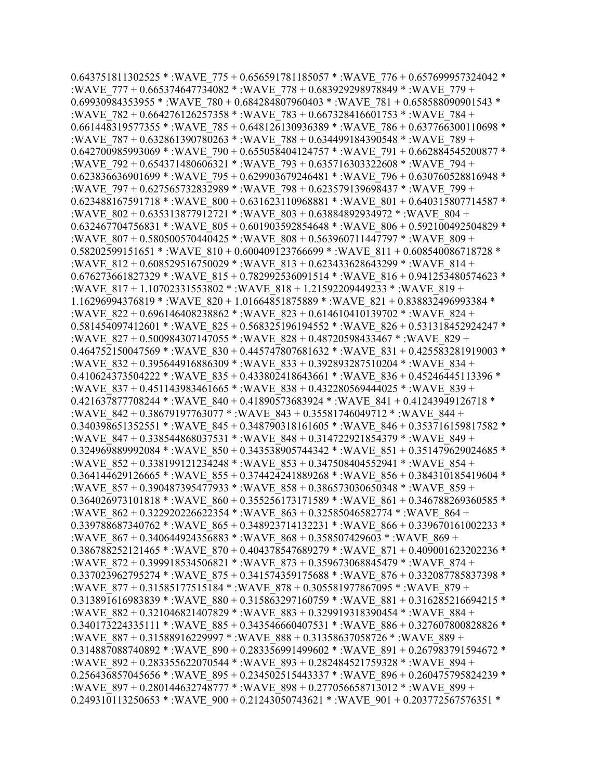0.643751811302525 \* :WAVE\_775 + 0.656591781185057 \* :WAVE\_776 + 0.657699957324042 \* :WAVE\_777 + 0.665374647734082 \* :WAVE\_778 + 0.683929298978849 \* :WAVE\_779 + 0.69930984353955 \* :WAVE\_780 + 0.684284807960403 \* :WAVE\_781 + 0.658588090901543 \* :WAVE\_782 + 0.664276126257358 \* :WAVE\_783 + 0.667328416601753 \* :WAVE\_784 +  $0.661448319577355$  \* :WAVE  $785 + 0.648126130936389$  \* :WAVE  $786 + 0.637766300110698$  \* :WAVE\_787 + 0.632861390780263 \* :WAVE\_788 + 0.634499184390548 \* :WAVE\_789 + 0.642700985993069 \* :WAVE\_790 + 0.655058404124757 \* :WAVE\_791 + 0.662884545200877 \* :WAVE\_792 + 0.654371480606321 \* :WAVE\_793 + 0.635716303322608 \* :WAVE\_794 + 0.623836636901699 \* :WAVE\_795 + 0.629903679246481 \* :WAVE\_796 + 0.630760528816948 \* :WAVE\_797 + 0.627565732832989 \* :WAVE\_798 + 0.623579139698437 \* :WAVE\_799 + 0.623488167591718 \* :WAVE\_800 + 0.631623110968881 \* :WAVE\_801 + 0.640315807714587 \* :WAVE\_802 + 0.635313877912721 \* :WAVE\_803 + 0.63884892934972 \* :WAVE\_804 + 0.632467704756831 \*: WAVE\_805 + 0.601903592854648 \*: WAVE\_806 + 0.592100492504829 \* :WAVE\_807 + 0.580500570440425 \* :WAVE\_808 + 0.563960711447797 \* :WAVE\_809 +  $0.58202599151651$  \* :WAVE  $810 + 0.600409123766699$  \* :WAVE  $811 + 0.608540086718728$  \* :WAVE\_812 + 0.608529516750029 \* :WAVE\_813 + 0.623433628643299 \* :WAVE\_814 + 0.676273661827329 \* :WAVE\_815 + 0.782992536091514 \* :WAVE\_816 + 0.941253480574623 \* :WAVE\_817 + 1.10702331553802 \* :WAVE\_818 + 1.21592209449233 \* :WAVE\_819 + 1.16296994376819 \* :WAVE\_820 + 1.01664851875889 \* :WAVE\_821 + 0.838832496993384 \* :WAVE\_822 + 0.696146408238862 \* :WAVE\_823 + 0.614610410139702 \* :WAVE\_824 + 0.581454097412601 \* :WAVE\_825 + 0.568325196194552 \* :WAVE\_826 + 0.531318452924247 \* :WAVE\_827 + 0.500984307147055 \* :WAVE\_828 + 0.48720598433467 \* :WAVE\_829 + 0.464752150047569 \* :WAVE\_830 + 0.445747807681632 \* :WAVE\_831 + 0.425583281919003 \* :WAVE\_832 + 0.395644916886309 \* :WAVE\_833 + 0.392893287510204 \* :WAVE\_834 + 0.410624373504222 \* :WAVE\_835 + 0.433802418643661 \* :WAVE\_836 + 0.45246445113396 \* :WAVE\_837 + 0.451143983461665 \* :WAVE\_838 + 0.432280569444025 \* :WAVE\_839 + 0.421637877708244 \* :WAVE\_840 + 0.41890573683924 \* :WAVE\_841 + 0.41243949126718 \* :WAVE\_842 + 0.38679197763077 \* :WAVE\_843 + 0.35581746049712 \* :WAVE\_844 + 0.340398651352551 \*: WAVE\_845 + 0.348790318161605 \*: WAVE\_846 + 0.353716159817582 \* :WAVE\_847 + 0.338544868037531 \* :WAVE\_848 + 0.314722921854379 \* :WAVE\_849 + 0.324969889992084 \* :WAVE\_850 + 0.343538905744342 \* :WAVE\_851 + 0.351479629024685 \* :WAVE\_852 + 0.338199121234248 \* :WAVE\_853 + 0.347508404552941 \* :WAVE\_854 + 0.364144629126665 \* :WAVE\_855 + 0.374424241889268 \* :WAVE\_856 + 0.384310185419604 \* :WAVE\_857 + 0.390487395477933 \* :WAVE\_858 + 0.386573030650348 \* :WAVE\_859 + 0.364026973101818 \* :WAVE\_860 + 0.355256173171589 \* :WAVE\_861 + 0.346788269360585 \* :WAVE\_862 + 0.322920226622354 \* :WAVE\_863 + 0.32585046582774 \* :WAVE\_864 + 0.339788687340762 \* :WAVE\_865 + 0.348923714132231 \* :WAVE\_866 + 0.339670161002233 \* :WAVE\_867 + 0.340644924356883 \* :WAVE\_868 + 0.358507429603 \* :WAVE\_869 + 0.386788252121465 \* :WAVE\_870 + 0.404378547689279 \* :WAVE\_871 + 0.409001623202236 \* :WAVE\_872 + 0.399918534506821 \* :WAVE\_873 + 0.359673068845479 \* :WAVE\_874 + 0.337023962795274 \* :WAVE\_875 + 0.341574359175688 \* :WAVE\_876 + 0.332087785837398 \* :WAVE\_877 + 0.31585177515184 \* :WAVE\_878 + 0.305581977867095 \* :WAVE\_879 + 0.313891616983839 \* :WAVE\_880 + 0.315863297160759 \* :WAVE\_881 + 0.316285216694215 \* :WAVE\_882 + 0.321046821407829 \* :WAVE\_883 + 0.329919318390454 \* :WAVE\_884 + 0.340173224335111 \* :WAVE\_885 + 0.343546660407531 \* :WAVE\_886 + 0.327607800828826 \* :WAVE\_887 + 0.31588916229997 \* :WAVE\_888 + 0.31358637058726 \* :WAVE\_889 + 0.314887088740892 \* :WAVE\_890 + 0.283356991499602 \* :WAVE\_891 + 0.267983791594672 \* :WAVE\_892 + 0.283355622070544 \* :WAVE\_893 + 0.282484521759328 \* :WAVE\_894 + 0.256436857045656 \* :WAVE\_895 + 0.234502515443337 \* :WAVE\_896 + 0.260475795824239 \* :WAVE\_897 + 0.280144632748777 \* :WAVE\_898 + 0.277056658713012 \* :WAVE\_899 + 0.249310113250653 \* :WAVE\_900 + 0.21243050743621 \* :WAVE\_901 + 0.203772567576351 \*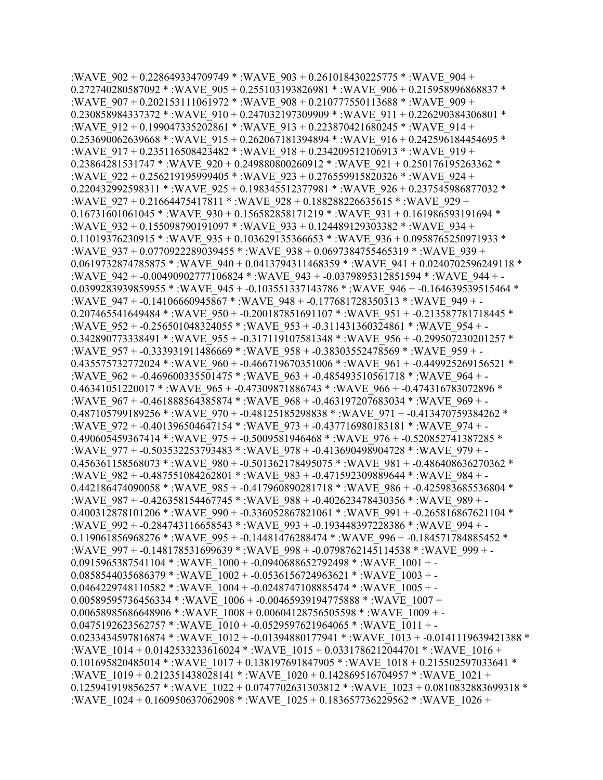:WAVE\_902 + 0.228649334709749 \* :WAVE\_903 + 0.261018430225775 \* :WAVE\_904 + 0.272740280587092 \* :WAVE\_905 + 0.255103193826981 \* :WAVE\_906 + 0.215958996868837 \* :WAVE\_907 + 0.202153111061972 \* :WAVE\_908 + 0.210777550113688 \* :WAVE\_909 + 0.230858984337372 \* : WAVE\_910 + 0.247032197309909 \* : WAVE\_911 + 0.226290384306801 \* :WAVE  $912 + 0.199047335202861$  \* :WAVE  $913 + 0.223870421680245$  \* :WAVE  $914 +$ 0.253690062639668 \* : WAVE\_915 + 0.262067181394894 \* : WAVE\_916 + 0.242596184454695 \* :WAVE\_917 + 0.235116508423482 \* :WAVE\_918 + 0.234209512106913 \* :WAVE\_919 + 0.23864281531747 \* :WAVE\_920 + 0.249880800260912 \* :WAVE\_921 + 0.250176195263362 \* :WAVE\_922 + 0.256219195999405 \* :WAVE\_923 + 0.276559915820326 \* :WAVE\_924 + 0.220432992598311 \* : WAVE\_925 + 0.198345512377981 \* : WAVE\_926 + 0.237545986877032 \* :WAVE\_927 + 0.21664475417811 \* :WAVE\_928 + 0.188288226635615 \* :WAVE\_929 + 0.16731601061045 \* :WAVE\_930 + 0.156582858171219 \* :WAVE\_931 + 0.161986593191694 \* :WAVE\_932 + 0.155098790191097 \* :WAVE\_933 + 0.124489129303382 \* :WAVE\_934 + 0.11019376230915 \* :WAVE\_935 + 0.103629135366653 \* :WAVE\_936 + 0.0958765250971933 \* :WAVE\_937 + 0.0770922289039455 \* :WAVE\_938 + 0.0697384755465319 \* :WAVE\_939 + 0.0619732874785875 \* :WAVE\_940 + 0.0413794311468359 \* :WAVE\_941 + 0.0240702596249118 \* :WAVE\_942 + -0.00490902777106824 \* :WAVE\_943 + -0.0379895312851594 \* :WAVE\_944 + - 0.0399283939859955 \* :WAVE\_945 + -0.103551337143786 \* :WAVE\_946 + -0.164639539515464 \* :WAVE\_947 + -0.14106660945867 \* :WAVE\_948 + -0.177681728350313 \* :WAVE\_949 + - 0.207465541649484 \* :WAVE\_950 + -0.200187851691107 \* :WAVE\_951 + -0.213587781718445 \* :WAVE\_952 + -0.256501048324055 \* :WAVE\_953 + -0.311431360324861 \* :WAVE\_954 + - 0.342890773338491 \* :WAVE\_955 + -0.317119107581348 \* :WAVE\_956 + -0.299507230201257 \* :WAVE\_957 + -0.333931911486669 \* :WAVE\_958 + -0.38303552478569 \* :WAVE\_959 + - 0.435575732772024 \* :WAVE\_960 + -0.466719670351006 \* :WAVE\_961 + -0.449925269156521 \* :WAVE\_962 + -0.469600335501475 \* :WAVE\_963 + -0.485493510561718 \* :WAVE\_964 + - 0.46341051220017 \* :WAVE 965 + -0.47309871886743 \* :WAVE 966 + -0.474316783072896 \* :WAVE\_967 + -0.461888564385874 \* :WAVE\_968 + -0.463197207683034 \* :WAVE\_969 + - 0.487105799189256 \* :WAVE\_970 + -0.48125185298838 \* :WAVE\_971 + -0.413470759384262 \* :WAVE\_972 + -0.401396504647154 \* :WAVE\_973 + -0.437716980183181 \* :WAVE\_974 + - 0.490605459367414 \* :WAVE\_975 + -0.5009581946468 \* :WAVE\_976 + -0.520852741387285 \* :WAVE\_977 + -0.503532253793483 \* :WAVE\_978 + -0.413690498904728 \* :WAVE\_979 + - 0.456361158568073 \* :WAVE\_980 + -0.501362178495075 \* :WAVE\_981 + -0.486408636270362 \* :WAVE\_982 + -0.487551084262801 \* :WAVE\_983 + -0.471592309889644 \* :WAVE\_984 + - 0.442186474090058 \* :WAVE\_985 + -0.417960890281718 \* :WAVE\_986 + -0.425983685536804 \* :WAVE\_987 + -0.426358154467745 \* :WAVE\_988 + -0.402623478430356 \* :WAVE\_989 + - 0.400312878101206 \* :WAVE\_990 + -0.336052867821061 \* :WAVE\_991 + -0.265816867621104 \* :WAVE\_992 + -0.284743116658543 \* :WAVE\_993 + -0.193448397228386 \* :WAVE\_994 + - 0.119061856968276 \* :WAVE\_995 + -0.14481476288474 \* :WAVE\_996 + -0.184571784885452 \* :WAVE\_997 + -0.148178531699639 \* :WAVE\_998 + -0.0798762145114538 \* :WAVE\_999 + - 0.0915965387541104 \* :WAVE\_1000 + -0.0940688652792498 \* :WAVE\_1001 + - $0.0858544035686379$  \* :WAVE  $1002 + 0.0536156724963621$  \* :WAVE  $1003 + 0.0464229748110582 *$ :WAVE  $1004 + 0.0248747108885474 *$ :WAVE  $1005 +$  $0.00589595736456334$  \* :WAVE  $1006 + 0.00465939194775888$  \* :WAVE  $1007 +$  $0.00658985686648906$  \* :WAVE  $1008 + 0.00604128756505598$  \* :WAVE  $1009 + 0.0475192623562757$  \* :WAVE  $1010 + 0.0529597621964065$  \* :WAVE  $1011 + -$ 0.0233434597816874 \* :WAVE\_1012 + -0.01394880177941 \* :WAVE\_1013 + -0.0141119639421388 \* :WAVE\_1014 + 0.0142533233616024 \* :WAVE\_1015 + 0.0331786212044701 \* :WAVE\_1016 + 0.101695820485014 \* :WAVE\_1017 + 0.138197691847905 \* :WAVE\_1018 + 0.215502597033641 \* :WAVE\_1019 + 0.212351438028141 \* :WAVE\_1020 + 0.142869516704957 \* :WAVE\_1021 + 0.125941919856257 \* :WAVE\_1022 + 0.0747702631303812 \* :WAVE\_1023 + 0.0810832883699318 \* :WAVE\_1024 + 0.160950637062908 \* :WAVE\_1025 + 0.183657736229562 \* :WAVE\_1026 +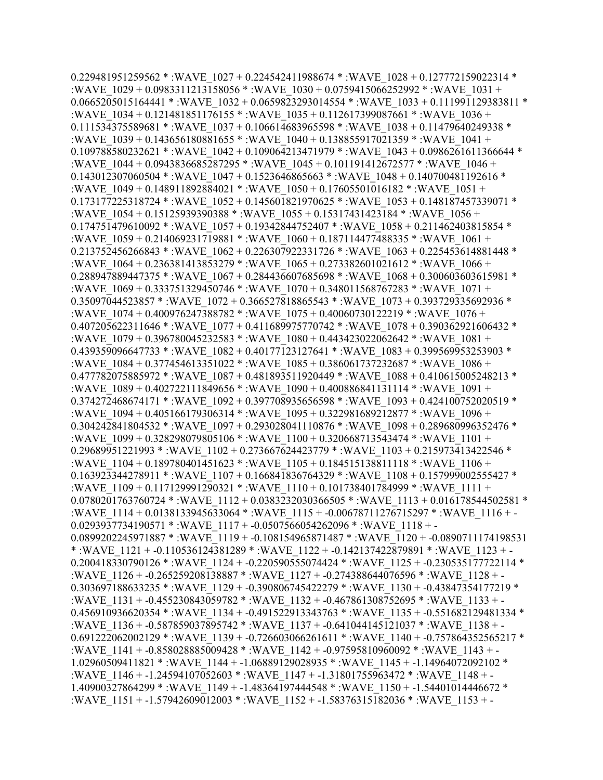$0.229481951259562$  \* :WAVE  $1027 + 0.224542411988674$  \* :WAVE  $1028 + 0.127772159022314$  \* :WAVE\_1029 + 0.0983311213158056 \* :WAVE\_1030 + 0.0759415066252992 \* :WAVE\_1031 + 0.0665205015164441 \* :WAVE  $1032 + 0.0659823293014554$  \* :WAVE  $1033 + 0.111991129383811$  \* :WAVE\_1034 + 0.121481851176155 \* :WAVE\_1035 + 0.112617399087661 \* :WAVE\_1036 +  $0.111534375589681 * :$ WAVE $1037 + 0.106614683965598 * :$ WAVE $1038 + 0.11479640249338 *$ :WAVE\_1039 + 0.143656180881655 \* :WAVE\_1040 + 0.138855917021359 \* :WAVE\_1041 + 0.109788580232621 \* :WAVE\_1042 + 0.109064213471979 \* :WAVE\_1043 + 0.0986261611366644 \* :WAVE  $1044 + 0.0943836685287295$  \* :WAVE  $1045 + 0.101191412672577$  \* :WAVE  $1046 +$ 0.143012307060504 \* :WAVE\_1047 + 0.1523646865663 \* :WAVE\_1048 + 0.140700481192616 \* :WAVE\_1049 + 0.148911892884021 \* :WAVE\_1050 + 0.17605501016182 \* :WAVE\_1051 + 0.173177225318724 \* :WAVE\_1052 + 0.145601821970625 \* :WAVE\_1053 + 0.148187457339071 \* :WAVE\_1054 + 0.15125939390388 \* :WAVE\_1055 + 0.15317431423184 \* :WAVE\_1056 + 0.174751479610092 \* :WAVE\_1057 + 0.19342844752407 \* :WAVE\_1058 + 0.211462403815854 \* :WAVE\_1059 + 0.214069231719881 \* :WAVE\_1060 + 0.187114477488335 \* :WAVE\_1061 +  $0.213752456266843$  \* :WAVE  $1062 + 0.226307922331726$  \* :WAVE  $1063 + 0.225453614881448$  \* :WAVE\_1064 + 0.236381413853279 \* :WAVE\_1065 + 0.273382601021612 \* :WAVE\_1066 + 0.288947889447375 \* :WAVE\_1067 + 0.284436607685698 \* :WAVE\_1068 + 0.300603603615981 \* :WAVE\_1069 + 0.333751329450746 \* :WAVE\_1070 + 0.348011568767283 \* :WAVE\_1071 + 0.35097044523857 \* :WAVE\_1072 + 0.366527818865543 \* :WAVE\_1073 + 0.393729335692936 \* :WAVE\_1074 + 0.400976247388782 \* :WAVE\_1075 + 0.40060730122219 \* :WAVE\_1076 + 0.407205622311646 \* :WAVE\_1077 + 0.411689975770742 \* :WAVE\_1078 + 0.390362921606432 \* :WAVE\_1079 + 0.396780045232583 \* :WAVE\_1080 + 0.443423022062642 \* :WAVE\_1081 + 0.439359096647733 \* :WAVE\_1082 + 0.40177123127641 \* :WAVE\_1083 + 0.399569953253903 \* :WAVE\_1084 + 0.377454613351022 \* :WAVE\_1085 + 0.386061737232687 \* :WAVE\_1086 + 0.477782075885972 \* :WAVE\_1087 + 0.481893511920449 \* :WAVE\_1088 + 0.410615005248213 \* :WAVE\_1089 + 0.402722111849656 \* :WAVE\_1090 + 0.400886841131114 \* :WAVE\_1091 + 0.374272468674171 \*: WAVE\_1092 + 0.397708935656598 \*: WAVE\_1093 + 0.424100752020519 \* :WAVE\_1094 + 0.405166179306314 \* :WAVE\_1095 + 0.322981689212877 \* :WAVE\_1096 + 0.304242841804532 \* :WAVE\_1097 + 0.293028041110876 \* :WAVE\_1098 + 0.289680996352476 \* :WAVE\_1099 + 0.328298079805106 \* :WAVE\_1100 + 0.320668713543474 \* :WAVE\_1101 +  $0.29689951221993 * :WAVE 1102 + 0.273667624423779 * :WAVE 1103 + 0.215973413422546 *$ :WAVE\_1104 + 0.189780401451623 \* :WAVE\_1105 + 0.184515138811118 \* :WAVE\_1106 + 0.163923344278911 \* :WAVE\_1107 + 0.166841836764329 \* :WAVE\_1108 + 0.157999002555427 \* :WAVE\_1109 + 0.117129991290321 \* :WAVE\_1110 + 0.101738401784999 \* :WAVE\_1111 + 0.0780201763760724 \* :WAVE\_1112 + 0.0383232030366505 \* :WAVE\_1113 + 0.016178544502581 \* :WAVE\_1114 + 0.0138133945633064 \* :WAVE\_1115 + -0.00678711276715297 \* :WAVE\_1116 + - 0.0293937734190571 \* :WAVE\_1117 + -0.0507566054262096 \* :WAVE\_1118 + -0.0899202245971887 \* :WAVE\_1119 + -0.108154965871487 \* :WAVE\_1120 + -0.0890711174198531 \* :WAVE\_1121 + -0.110536124381289 \* :WAVE\_1122 + -0.142137422879891 \* :WAVE\_1123 + - 0.200418330790126 \*: WAVE\_1124 + -0.220590555074424 \*: WAVE\_1125 + -0.230535177722114 \* :WAVE\_1126 + -0.265259208138887 \* :WAVE\_1127 + -0.274388644076596 \* :WAVE\_1128 + - 0.303697188633235 \* :WAVE\_1129 + -0.390806745422279 \* :WAVE\_1130 + -0.43847354177219 \* :WAVE\_1131 + -0.455230843059782 \* :WAVE\_1132 + -0.467861308752695 \* :WAVE\_1133 + - 0.456910936620354 \* :WAVE\_1134 + -0.491522913343763 \* :WAVE\_1135 + -0.551682129481334 \* :WAVE\_1136 + -0.587859037895742 \* :WAVE\_1137 + -0.641044145121037 \* :WAVE\_1138 + - 0.691222062002129 \* :WAVE\_1139 + -0.726603066261611 \* :WAVE\_1140 + -0.757864352565217 \* :WAVE\_1141 + -0.858028885009428 \* :WAVE\_1142 + -0.97595810960092 \* :WAVE\_1143 + - 1.02960509411821 \* :WAVE\_1144 + -1.06889129028935 \* :WAVE\_1145 + -1.14964072092102 \* :WAVE\_1146 + -1.24594107052603 \* :WAVE\_1147 + -1.31801755963472 \* :WAVE\_1148 + - 1.40900327864299 \* :WAVE\_1149 + -1.48364197444548 \* :WAVE\_1150 + -1.54401014446672 \* :WAVE\_1151 + -1.57942609012003 \* :WAVE\_1152 + -1.58376315182036 \* :WAVE\_1153 + -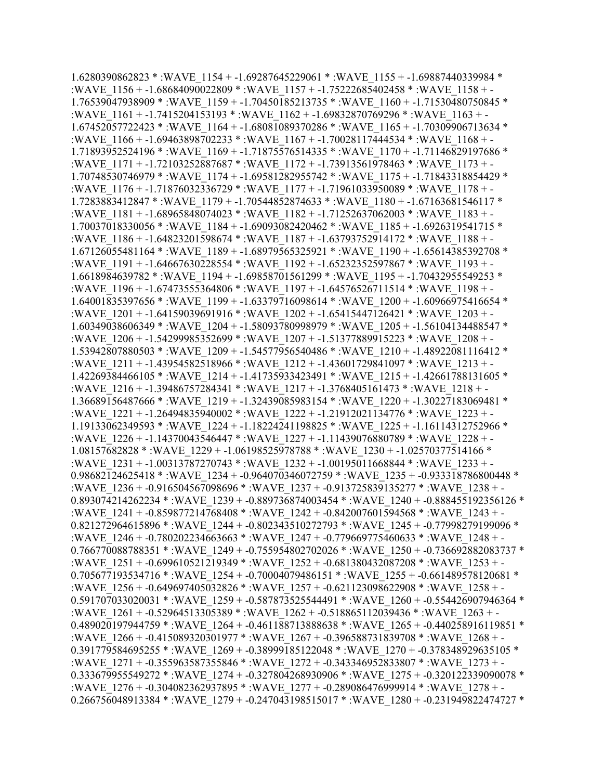1.6280390862823 \* :WAVE\_1154 + -1.69287645229061 \* :WAVE\_1155 + -1.69887440339984 \* :WAVE\_1156 + -1.68684090022809 \* :WAVE\_1157 + -1.75222685402458 \* :WAVE\_1158 + - 1.76539047938909 \* :WAVE\_1159 + -1.70450185213735 \* :WAVE\_1160 + -1.71530480750845 \* :WAVE\_1161 + -1.7415204153193 \* :WAVE\_1162 + -1.69832870769296 \* :WAVE\_1163 + - 1.67452057722423 \* :WAVE\_1164 + -1.68081089370286 \* :WAVE\_1165 + -1.70309906713634 \* :WAVE\_1166 + -1.69463898702233 \* :WAVE\_1167 + -1.70028117444534 \* :WAVE\_1168 + - 1.71893952524196 \* :WAVE\_1169 + -1.71875576514335 \* :WAVE\_1170 + -1.71146829197686 \* :WAVE\_1171 + -1.72103252887687 \* :WAVE\_1172 + -1.73913561978463 \* :WAVE\_1173 + - 1.70748530746979 \* :WAVE\_1174 + -1.69581282955742 \* :WAVE\_1175 + -1.71843318854429 \* :WAVE\_1176 + -1.71876032336729 \* :WAVE\_1177 + -1.71961033950089 \* :WAVE\_1178 + - 1.7283883412847 \* :WAVE\_1179 + -1.70544852874633 \* :WAVE\_1180 + -1.67163681546117 \* :WAVE\_1181 + -1.68965848074023 \* :WAVE\_1182 + -1.71252637062003 \* :WAVE\_1183 + - 1.70037018330056 \* :WAVE\_1184 + -1.69093082420462 \* :WAVE\_1185 + -1.6926319541715 \* :WAVE\_1186 + -1.64823201598674 \* :WAVE\_1187 + -1.63793752914172 \* :WAVE\_1188 + - 1.67126055481164 \* :WAVE\_1189 + -1.68979565325921 \* :WAVE\_1190 + -1.65614385392708 \* :WAVE\_1191 + -1.64667630228554 \* :WAVE\_1192 + -1.65232352597867 \* :WAVE\_1193 + - 1.6618984639782 \* :WAVE\_1194 + -1.69858701561299 \* :WAVE\_1195 + -1.70432955549253 \* :WAVE\_1196 + -1.67473555364806 \* :WAVE\_1197 + -1.64576526711514 \* :WAVE\_1198 + - 1.64001835397656 \* :WAVE\_1199 + -1.63379716098614 \* :WAVE\_1200 + -1.60966975416654 \* :WAVE\_1201 + -1.64159039691916 \* :WAVE\_1202 + -1.65415447126421 \* :WAVE\_1203 + - 1.60349038606349 \* :WAVE\_1204 + -1.58093780998979 \* :WAVE\_1205 + -1.56104134488547 \* :WAVE\_1206 + -1.54299985352699 \* :WAVE\_1207 + -1.51377889915223 \* :WAVE\_1208 + - 1.53942807880503 \* :WAVE\_1209 + -1.54577956540486 \* :WAVE\_1210 + -1.48922081116412 \* :WAVE\_1211 + -1.43954582518966 \* :WAVE\_1212 + -1.43601729841097 \* :WAVE\_1213 + - 1.42269384466105 \* :WAVE\_1214 + -1.41735933423491 \* :WAVE\_1215 + -1.42661788131605 \* :WAVE\_1216 + -1.39486757284341 \* :WAVE\_1217 + -1.3768405161473 \* :WAVE\_1218 + - 1.36689156487666 \* :WAVE\_1219 + -1.32439085983154 \* :WAVE\_1220 + -1.30227183069481 \* :WAVE\_1221 + -1.26494835940002 \* :WAVE\_1222 + -1.21912021134776 \* :WAVE\_1223 + - 1.19133062349593 \* :WAVE\_1224 + -1.18224241198825 \* :WAVE\_1225 + -1.16114312752966 \* :WAVE\_1226 + -1.14370043546447 \* :WAVE\_1227 + -1.11439076880789 \* :WAVE\_1228 + - 1.08157682828 \* :WAVE\_1229 + -1.06198525978788 \* :WAVE\_1230 + -1.02570377514166 \* :WAVE\_1231 + -1.00313787270743 \* :WAVE\_1232 + -1.00195011668844 \* :WAVE\_1233 + - 0.98682124625418 \* :WAVE\_1234 + -0.964070346072759 \* :WAVE\_1235 + -0.933318786800448 \* :WAVE\_1236 + -0.916504567098696 \* :WAVE\_1237 + -0.913725839135277 \* :WAVE\_1238 + - 0.893074214262234 \* :WAVE\_1239 + -0.889736874003454 \* :WAVE\_1240 + -0.888455192356126 \* :WAVE\_1241 + -0.859877214768408 \* :WAVE\_1242 + -0.842007601594568 \* :WAVE\_1243 + - 0.821272964615896 \* :WAVE\_1244 + -0.802343510272793 \* :WAVE\_1245 + -0.77998279199096 \* :WAVE\_1246 + -0.780202234663663 \* :WAVE\_1247 + -0.779669775460633 \* :WAVE\_1248 + - 0.766770088788351 \* :WAVE\_1249 + -0.755954802702026 \* :WAVE\_1250 + -0.736692882083737 \* :WAVE\_1251 + -0.699610521219349 \* :WAVE\_1252 + -0.681380432087208 \* :WAVE\_1253 + - 0.705677193534716 \* :WAVE\_1254 + -0.70004079486151 \* :WAVE\_1255 + -0.661489578120681 \* :WAVE\_1256 + -0.649697405032826 \* :WAVE\_1257 + -0.621123098622908 \* :WAVE\_1258 + - 0.591707033020031 \* :WAVE\_1259 + -0.587873525544491 \* :WAVE\_1260 + -0.554426907946364 \* :WAVE\_1261 + -0.52964513305389 \* :WAVE\_1262 + -0.518865112039436 \* :WAVE\_1263 + - 0.489020197944759 \* :WAVE\_1264 + -0.461188713888638 \* :WAVE\_1265 + -0.440258916119851 \* :WAVE\_1266 + -0.415089320301977 \* :WAVE\_1267 + -0.396588731839708 \* :WAVE\_1268 + - 0.391779584695255 \* :WAVE\_1269 + -0.38999185122048 \* :WAVE\_1270 + -0.378348929635105 \* :WAVE\_1271 + -0.355963587355846 \* :WAVE\_1272 + -0.343346952833807 \* :WAVE\_1273 + - 0.333679955549272 \* :WAVE\_1274 + -0.327804268930906 \* :WAVE\_1275 + -0.320122339090078 \* :WAVE\_1276 + -0.304082362937895 \* :WAVE\_1277 + -0.289086476999914 \* :WAVE\_1278 + - 0.266756048913384 \* :WAVE\_1279 + -0.247043198515017 \* :WAVE\_1280 + -0.231949822474727 \*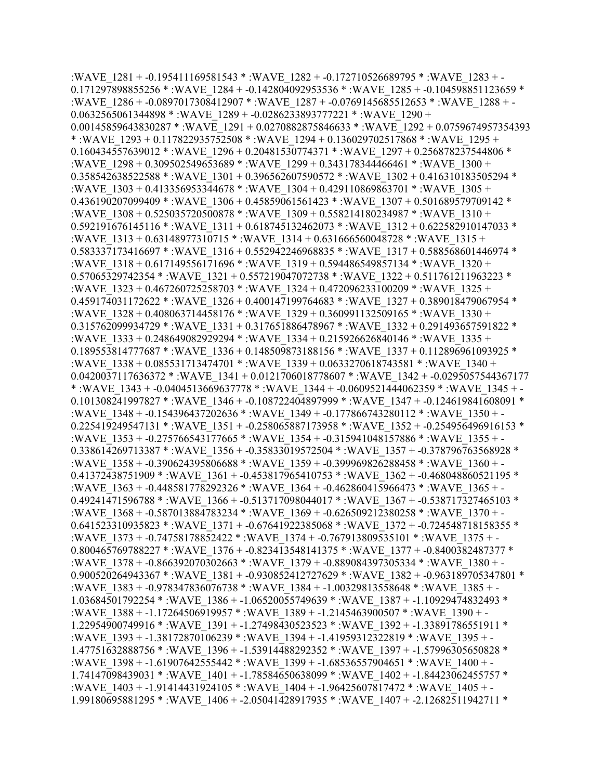:WAVE\_1281 + -0.195411169581543 \* :WAVE\_1282 + -0.172710526689795 \* :WAVE\_1283 + - 0.171297898855256 \* :WAVE\_1284 + -0.142804092953536 \* :WAVE\_1285 + -0.104598851123659 \* :WAVE\_1286 + -0.0897017308412907 \* :WAVE\_1287 + -0.0769145685512653 \* :WAVE\_1288 + - 0.0632565061344898 \* :WAVE\_1289 + -0.0286233893777221 \* :WAVE\_1290 + 0.00145859643830287 \* :WAVE\_1291 + 0.0270882875846633 \* :WAVE\_1292 + 0.0759674957354393 \* :WAVE\_1293 + 0.117822935752508 \* :WAVE\_1294 + 0.136029702517868 \* :WAVE\_1295 + 0.160434557639012 \* :WAVE\_1296 + 0.20481530774371 \* :WAVE\_1297 + 0.256878237544806 \* :WAVE\_1298 + 0.309502549653689 \* :WAVE\_1299 + 0.343178344466461 \* :WAVE\_1300 + 0.358542638522588 \* :WAVE\_1301 + 0.396562607590572 \* :WAVE\_1302 + 0.416310183505294 \* :WAVE\_1303 + 0.413356953344678 \* :WAVE\_1304 + 0.429110869863701 \* :WAVE\_1305 + 0.436190207099409 \* :WAVE\_1306 + 0.45859061561423 \* :WAVE\_1307 + 0.501689579709142 \* :WAVE\_1308 + 0.525035720500878 \* :WAVE\_1309 + 0.558214180234987 \* :WAVE\_1310 + 0.592191676145116 \* :WAVE\_1311 + 0.618745132462073 \* :WAVE\_1312 + 0.622582910147033 \* :WAVE\_1313 + 0.63148977310715 \* :WAVE\_1314 + 0.631666560048728 \* :WAVE\_1315 + 0.583337173416697 \* :WAVE\_1316 + 0.552942246968835 \* :WAVE\_1317 + 0.588568601446974 \* :WAVE\_1318 + 0.617149556171696 \* :WAVE\_1319 + 0.594486549857134 \* :WAVE\_1320 + 0.57065329742354 \* :WAVE\_1321 + 0.557219047072738 \* :WAVE\_1322 + 0.511761211963223 \* :WAVE\_1323 + 0.467260725258703 \* :WAVE\_1324 + 0.472096233100209 \* :WAVE\_1325 + 0.459174031172622 \* :WAVE\_1326 + 0.400147199764683 \* :WAVE\_1327 + 0.389018479067954 \* :WAVE\_1328 + 0.408063714458176 \* :WAVE\_1329 + 0.360991132509165 \* :WAVE\_1330 + 0.315762099934729 \* :WAVE\_1331 + 0.317651886478967 \* :WAVE\_1332 + 0.291493657591822 \* :WAVE\_1333 + 0.248649082929294 \* :WAVE\_1334 + 0.215926626840146 \* :WAVE\_1335 + 0.189553814777687 \* :WAVE\_1336 + 0.148509873188156 \* :WAVE\_1337 + 0.112896961093925 \* :WAVE\_1338 + 0.085531713474701 \* :WAVE\_1339 + 0.0633270618743581 \* :WAVE\_1340 + 0.0420037117636372 \* :WAVE\_1341 + 0.0121706018778607 \* :WAVE\_1342 + -0.0295057544367177 \* :WAVE\_1343 + -0.0404513669637778 \* :WAVE\_1344 + -0.0609521444062359 \* :WAVE\_1345 + - 0.101308241997827 \* :WAVE\_1346 + -0.108722404897999 \* :WAVE\_1347 + -0.124619841608091 \* :WAVE\_1348 + -0.154396437202636 \* :WAVE\_1349 + -0.177866743280112 \* :WAVE\_1350 + - 0.225419249547131 \*: WAVE\_1351 + -0.258065887173958 \*: WAVE\_1352 + -0.254956496916153 \* :WAVE\_1353 + -0.275766543177665 \* :WAVE\_1354 + -0.315941048157886 \* :WAVE\_1355 + - 0.338614269713387 \* :WAVE\_1356 + -0.35833019572504 \* :WAVE\_1357 + -0.378796763568928 \* :WAVE\_1358 + -0.390624395806688 \* :WAVE\_1359 + -0.399969826288458 \* :WAVE\_1360 + - 0.41372438751909 \* :WAVE\_1361 + -0.453817965410753 \* :WAVE\_1362 + -0.468048860521195 \* :WAVE\_1363 + -0.448581778292326 \* :WAVE\_1364 + -0.462860415966473 \* :WAVE\_1365 + - 0.49241471596788 \* :WAVE\_1366 + -0.513717098044017 \* :WAVE\_1367 + -0.538717327465103 \* :WAVE\_1368 + -0.587013884783234 \* :WAVE\_1369 + -0.626509212380258 \* :WAVE\_1370 + - 0.641523310935823 \* :WAVE\_1371 + -0.67641922385068 \* :WAVE\_1372 + -0.724548718158355 \* :WAVE\_1373 + -0.74758178852422 \* :WAVE\_1374 + -0.767913809535101 \* :WAVE\_1375 + - 0.800465769788227 \* :WAVE\_1376 + -0.823413548141375 \* :WAVE\_1377 + -0.8400382487377 \* :WAVE\_1378 + -0.866392070302663 \* :WAVE\_1379 + -0.889084397305334 \* :WAVE\_1380 + - 0.900520264943367 \* :WAVE\_1381 + -0.930852412727629 \* :WAVE\_1382 + -0.963189705347801 \* :WAVE\_1383 + -0.978347836076738 \* :WAVE\_1384 + -1.00329813558648 \* :WAVE\_1385 + - 1.03684501792254 \* :WAVE\_1386 + -1.06520055749639 \* :WAVE\_1387 + -1.10929474832493 \* :WAVE\_1388 + -1.17264506919957 \* :WAVE\_1389 + -1.2145463900507 \* :WAVE\_1390 + - 1.22954900749916 \* :WAVE\_1391 + -1.27498430523523 \* :WAVE\_1392 + -1.33891786551911 \* :WAVE\_1393 + -1.38172870106239 \* :WAVE\_1394 + -1.41959312322819 \* :WAVE\_1395 + - 1.47751632888756 \* :WAVE\_1396 + -1.53914488292352 \* :WAVE\_1397 + -1.57996305650828 \* :WAVE\_1398 + -1.61907642555442 \* :WAVE\_1399 + -1.68536557904651 \* :WAVE\_1400 + - 1.74147098439031 \* :WAVE\_1401 + -1.78584650638099 \* :WAVE\_1402 + -1.84423062455757 \* :WAVE\_1403 + -1.91414431924105 \* :WAVE\_1404 + -1.96425607817472 \* :WAVE\_1405 + - 1.99180695881295 \* :WAVE\_1406 + -2.05041428917935 \* :WAVE\_1407 + -2.12682511942711 \*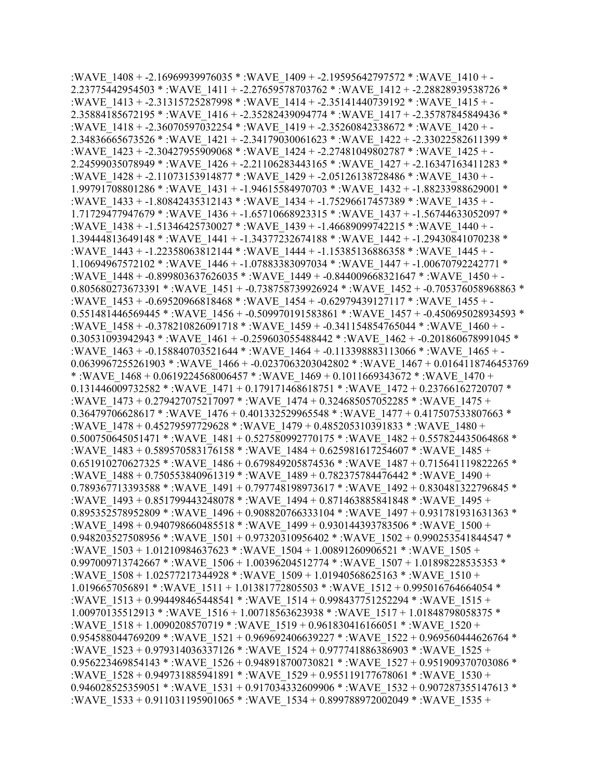:WAVE\_1408 + -2.16969939976035 \* :WAVE\_1409 + -2.19595642797572 \* :WAVE\_1410 + - 2.23775442954503 \* :WAVE\_1411 + -2.27659578703762 \* :WAVE\_1412 + -2.28828939538726 \* :WAVE\_1413 + -2.31315725287998 \* :WAVE\_1414 + -2.35141440739192 \* :WAVE\_1415 + - 2.35884185672195 \* :WAVE\_1416 + -2.35282439094774 \* :WAVE\_1417 + -2.35787845849436 \* :WAVE\_1418 + -2.36070597032254 \* :WAVE\_1419 + -2.35260842338672 \* :WAVE\_1420 + - 2.34836665673526 \* :WAVE\_1421 + -2.34179030061623 \* :WAVE\_1422 + -2.33022582611399 \* :WAVE\_1423 + -2.30427955909068 \* :WAVE\_1424 + -2.27481049802787 \* :WAVE\_1425 + - 2.24599035078949 \* :WAVE\_1426 + -2.21106283443165 \* :WAVE\_1427 + -2.16347163411283 \* :WAVE\_1428 + -2.11073153914877 \* :WAVE\_1429 + -2.05126138728486 \* :WAVE\_1430 + - 1.99791708801286 \* :WAVE\_1431 + -1.94615584970703 \* :WAVE\_1432 + -1.88233988629001 \* :WAVE\_1433 + -1.80842435312143 \* :WAVE\_1434 + -1.75296617457389 \* :WAVE\_1435 + - 1.71729477947679 \* :WAVE\_1436 + -1.65710668923315 \* :WAVE\_1437 + -1.56744633052097 \* :WAVE\_1438 + -1.51346425730027 \* :WAVE\_1439 + -1.46689099742215 \* :WAVE\_1440 + - 1.39444813649148 \* :WAVE\_1441 + -1.34377232674188 \* :WAVE\_1442 + -1.29430841070238 \* :WAVE\_1443 + -1.22358063812144 \* :WAVE\_1444 + -1.15385136886358 \* :WAVE\_1445 + - 1.10694967572102 \* :WAVE\_1446 + -1.07883383097034 \* :WAVE\_1447 + -1.00670792242771 \* :WAVE\_1448 + -0.899803637626035 \* :WAVE\_1449 + -0.844009668321647 \* :WAVE\_1450 + -0.805680273673391 \* :WAVE\_1451 + -0.738758739926924 \* :WAVE\_1452 + -0.705376058968863 \* :WAVE\_1453 + -0.69520966818468 \* :WAVE\_1454 + -0.62979439127117 \* :WAVE\_1455 + -0.551481446569445 \* :WAVE\_1456 + -0.509970191583861 \* :WAVE\_1457 + -0.450695028934593 \* :WAVE\_1458 + -0.378210826091718 \* :WAVE\_1459 + -0.341154854765044 \* :WAVE\_1460 + - 0.30531093942943 \* :WAVE\_1461 + -0.259603055488442 \* :WAVE\_1462 + -0.201860678991045 \* :WAVE\_1463 + -0.158840703521644 \* :WAVE\_1464 + -0.113398883113066 \* :WAVE\_1465 + - 0.0639967255261903 \* :WAVE\_1466 + -0.0237063203042802 \* :WAVE\_1467 + 0.0164118746453769 \* :WAVE  $1468 + 0.0619224568006457$  \* :WAVE  $1469 + 0.1011669343672$  \* :WAVE  $1470 +$ 0.131446009732582 \* :WAVE\_1471 + 0.179171468618751 \* :WAVE\_1472 + 0.23766162720707 \* :WAVE\_1473 + 0.279427075217097 \* :WAVE\_1474 + 0.324685057052285 \* :WAVE\_1475 + 0.36479706628617 \* :WAVE\_1476 + 0.401332529965548 \* :WAVE\_1477 + 0.417507533807663 \* :WAVE\_1478 + 0.45279597729628 \* :WAVE\_1479 + 0.485205310391833 \* :WAVE\_1480 + 0.500750645051471 \*: WAVE\_1481 + 0.527580992770175 \*: WAVE\_1482 + 0.557824435064868 \* :WAVE\_1483 + 0.589570583176158 \* :WAVE\_1484 + 0.625981617254607 \* :WAVE\_1485 + 0.651910270627325 \* :WAVE\_1486 + 0.679849205874536 \* :WAVE\_1487 + 0.715641119822265 \* :WAVE\_1488 + 0.750553840961319 \* :WAVE\_1489 + 0.782375784476442 \* :WAVE\_1490 + 0.789367713393588 \* :WAVE\_1491 + 0.797748198973617 \* :WAVE\_1492 + 0.830481322796845 \* :WAVE\_1493 + 0.851799443248078 \* :WAVE\_1494 + 0.871463885841848 \* :WAVE\_1495 + 0.895352578952809 \* :WAVE\_1496 + 0.908820766333104 \* :WAVE\_1497 + 0.931781931631363 \* :WAVE\_1498 + 0.940798660485518 \* :WAVE\_1499 + 0.930144393783506 \* :WAVE\_1500 +  $0.948203527508956 * :$ WAVE  $1501 + 0.97320310956402 * :$ WAVE  $1502 + 0.990253541844547 *$ :WAVE\_1503 + 1.01210984637623 \* :WAVE\_1504 + 1.00891260906521 \* :WAVE\_1505 + 0.997009713742667 \* :WAVE\_1506 + 1.00396204512774 \* :WAVE\_1507 + 1.01898228535353 \* :WAVE\_1508 + 1.02577217344928 \* :WAVE\_1509 + 1.01940568625163 \* :WAVE\_1510 + 1.0196657056891 \* :WAVE\_1511 + 1.01381772805503 \* :WAVE\_1512 + 0.995016764664054 \* :WAVE\_1513 + 0.994498465448541 \* :WAVE\_1514 + 0.998437751252294 \* :WAVE\_1515 + 1.00970135512913 \* :WAVE\_1516 + 1.00718563623938 \* :WAVE\_1517 + 1.01848798058375 \* :WAVE\_1518 + 1.0090208570719 \* :WAVE\_1519 + 0.961830416166051 \* :WAVE\_1520 + 0.954588044769209 \* :WAVE\_1521 + 0.969692406639227 \* :WAVE\_1522 + 0.969560444626764 \* :WAVE\_1523 + 0.979314036337126 \* :WAVE\_1524 + 0.977741886386903 \* :WAVE\_1525 + 0.956223469854143 \* :WAVE\_1526 + 0.948918700730821 \* :WAVE\_1527 + 0.951909370703086 \* :WAVE\_1528 + 0.949731885941891 \* :WAVE\_1529 + 0.955119177678061 \* :WAVE\_1530 + 0.946028525359051 \*: WAVE\_1531 + 0.917034332609906 \*: WAVE\_1532 + 0.907287355147613 \* :WAVE\_1533 + 0.911031195901065 \* :WAVE\_1534 + 0.899788972002049 \* :WAVE\_1535 +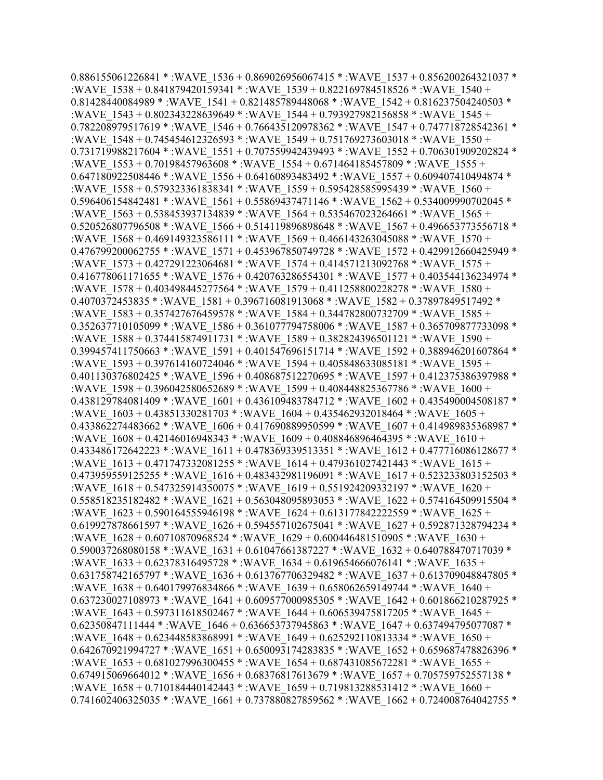0.886155061226841 \* :WAVE\_1536 + 0.869026956067415 \* :WAVE\_1537 + 0.856200264321037 \* :WAVE\_1538 + 0.841879420159341 \* :WAVE\_1539 + 0.822169784518526 \* :WAVE\_1540 + 0.81428440084989 \* :WAVE\_1541 + 0.821485789448068 \* :WAVE\_1542 + 0.816237504240503 \* :WAVE\_1543 + 0.802343228639649 \* :WAVE\_1544 + 0.793927982156858 \* :WAVE\_1545 + 0.782208979517619 \* :WAVE\_1546 + 0.766435120978362 \* :WAVE\_1547 + 0.747718728542361 \* :WAVE\_1548 + 0.745454612326593 \* :WAVE\_1549 + 0.751769273603018 \* :WAVE\_1550 + 0.731719988217604 \* :WAVE\_1551 + 0.707559942439493 \* :WAVE\_1552 + 0.706301909202824 \* :WAVE\_1553 + 0.70198457963608 \* :WAVE\_1554 + 0.671464185457809 \* :WAVE\_1555 + 0.647180922508446 \* :WAVE\_1556 + 0.64160893483492 \* :WAVE\_1557 + 0.609407410494874 \* :WAVE\_1558 + 0.579323361838341 \* :WAVE\_1559 + 0.595428585995439 \* :WAVE\_1560 + 0.596406154842481 \* :WAVE\_1561 + 0.55869437471146 \* :WAVE\_1562 + 0.534009990702045 \* :WAVE\_1563 + 0.538453937134839 \* :WAVE\_1564 + 0.535467023264661 \* :WAVE\_1565 + 0.520526807796508 \* :WAVE\_1566 + 0.514119896898648 \* :WAVE\_1567 + 0.496653773556718 \* :WAVE\_1568 + 0.469149323586111 \* :WAVE\_1569 + 0.466143263045088 \* :WAVE\_1570 +  $0.476799200062755$  \* :WAVE  $1571 + 0.453967850749728$  \* :WAVE  $1572 + 0.429912660425949$  \* :WAVE\_1573 + 0.427291223064681 \* :WAVE\_1574 + 0.414571213092768 \* :WAVE\_1575 + 0.416778061171655 \* :WAVE\_1576 + 0.420763286554301 \* :WAVE\_1577 + 0.403544136234974 \* :WAVE\_1578 + 0.403498445277564 \* :WAVE\_1579 + 0.411258800228278 \* :WAVE\_1580 + 0.4070372453835 \* :WAVE\_1581 + 0.396716081913068 \* :WAVE\_1582 + 0.37897849517492 \* :WAVE\_1583 + 0.357427676459578 \* :WAVE\_1584 + 0.344782800732709 \* :WAVE\_1585 + 0.352637710105099 \* :WAVE\_1586 + 0.361077794758006 \* :WAVE\_1587 + 0.365709877733098 \* :WAVE\_1588 + 0.374415874911731 \* :WAVE\_1589 + 0.382824396501121 \* :WAVE\_1590 + 0.399457411750663 \* :WAVE\_1591 + 0.401547696151714 \* :WAVE\_1592 + 0.388946201607864 \* :WAVE\_1593 + 0.397614160724046 \* :WAVE\_1594 + 0.405848633085181 \* :WAVE\_1595 + 0.401130376802425 \* :WAVE\_1596 + 0.408687512270695 \* :WAVE\_1597 + 0.412375386397988 \* :WAVE\_1598 + 0.396042580652689 \* :WAVE\_1599 + 0.408448825367786 \* :WAVE\_1600 + 0.438129784081409 \* :WAVE\_1601 + 0.436109483784712 \* :WAVE\_1602 + 0.435490004508187 \* :WAVE\_1603 + 0.43851330281703 \* :WAVE\_1604 + 0.435462932018464 \* :WAVE\_1605 + 0.433862274483662 \* :WAVE\_1606 + 0.417690889950599 \* :WAVE\_1607 + 0.414989835368987 \* :WAVE\_1608 + 0.42146016948343 \* :WAVE\_1609 + 0.408846896464395 \* :WAVE\_1610 + 0.433486172642223 \* :WAVE\_1611 + 0.478369339513351 \* :WAVE\_1612 + 0.477716086128677 \* :WAVE\_1613 + 0.471747332081255 \* :WAVE\_1614 + 0.479361027421443 \* :WAVE\_1615 + 0.473959559125255 \* :WAVE\_1616 + 0.483432981196091 \* :WAVE\_1617 + 0.523233803152503 \* :WAVE\_1618 + 0.547325914350075 \* :WAVE\_1619 + 0.551924209332197 \* :WAVE\_1620 + 0.558518235182482 \* :WAVE\_1621 + 0.563048095893053 \* :WAVE\_1622 + 0.574164509915504 \* :WAVE\_1623 + 0.590164555946198 \* :WAVE\_1624 + 0.613177842222559 \* :WAVE\_1625 + 0.619927878661597 \* :WAVE\_1626 + 0.594557102675041 \* :WAVE\_1627 + 0.592871328794234 \* :WAVE\_1628 + 0.60710870968524 \* :WAVE\_1629 + 0.600446481510905 \* :WAVE\_1630 + 0.590037268080158 \* :WAVE\_1631 + 0.61047661387227 \* :WAVE\_1632 + 0.640788470717039 \* :WAVE\_1633 + 0.62378316495728 \* :WAVE\_1634 + 0.619654666076141 \* :WAVE\_1635 + 0.631758742165797 \* :WAVE\_1636 + 0.613767706329482 \* :WAVE\_1637 + 0.613709048847805 \* :WAVE\_1638 + 0.640179976834866 \* :WAVE\_1639 + 0.658062659149744 \* :WAVE\_1640 + 0.637230027108973 \* :WAVE\_1641 + 0.609577000985305 \* :WAVE\_1642 + 0.601866210287925 \* :WAVE\_1643 + 0.597311618502467 \* :WAVE\_1644 + 0.606539475817205 \* :WAVE\_1645 + 0.62350847111444 \* :WAVE\_1646 + 0.636653737945863 \* :WAVE\_1647 + 0.637494795077087 \* :WAVE\_1648 + 0.623448583868991 \* :WAVE\_1649 + 0.625292110813334 \* :WAVE\_1650 + 0.642670921994727 \* :WAVE\_1651 + 0.650093174283835 \* :WAVE\_1652 + 0.659687478826396 \* :WAVE\_1653 + 0.681027996300455 \* :WAVE\_1654 + 0.687431085672281 \* :WAVE\_1655 + 0.674915069664012 \* :WAVE\_1656 + 0.68376817613679 \* :WAVE\_1657 + 0.705759752557138 \* :WAVE\_1658 + 0.710184440142443 \* :WAVE\_1659 + 0.719813288531412 \* :WAVE\_1660 + 0.741602406325035 \* :WAVE 1661 + 0.737880827859562 \* :WAVE\_1662 + 0.724008764042755 \*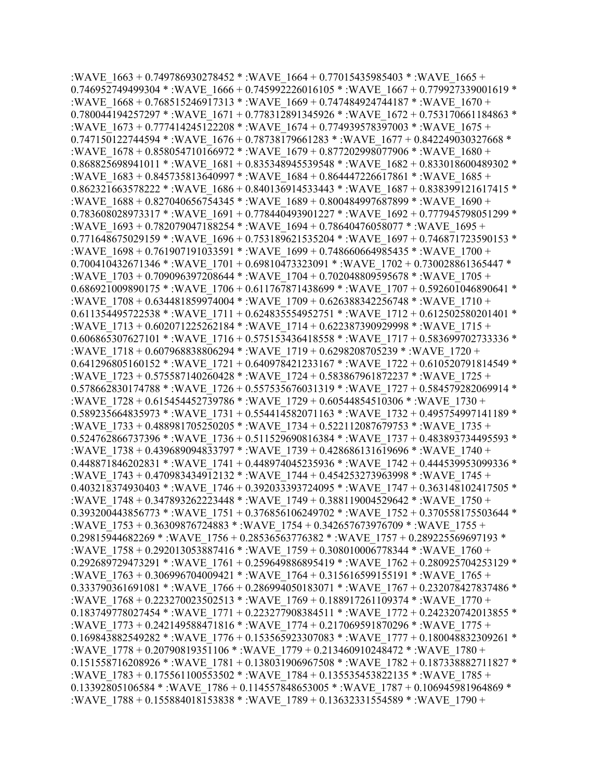:WAVE\_1663 + 0.749786930278452 \* :WAVE\_1664 + 0.77015435985403 \* :WAVE\_1665 + 0.746952749499304 \* :WAVE\_1666 + 0.745992226016105 \* :WAVE\_1667 + 0.779927339001619 \* :WAVE\_1668 + 0.768515246917313 \* :WAVE\_1669 + 0.747484924744187 \* :WAVE\_1670 + 0.780044194257297 \* :WAVE\_1671 + 0.778312891345926 \* :WAVE\_1672 + 0.753170661184863 \* :WAVE\_1673 + 0.777414245122208 \* :WAVE\_1674 + 0.774939578397003 \* :WAVE\_1675 + 0.747150122744594 \* :WAVE\_1676 + 0.78738179661283 \* :WAVE\_1677 + 0.842249030327668 \* :WAVE\_1678 + 0.858054710166972 \* :WAVE\_1679 + 0.877202998077906 \* :WAVE\_1680 + 0.868825698941011 \* :WAVE\_1681 + 0.835348945539548 \* :WAVE\_1682 + 0.833018600489302 \* :WAVE\_1683 + 0.845735813640997 \* :WAVE\_1684 + 0.864447226617861 \* :WAVE\_1685 + 0.862321663578222 \* :WAVE\_1686 + 0.840136914533443 \* :WAVE\_1687 + 0.838399121617415 \* :WAVE\_1688 + 0.827040656754345 \* :WAVE\_1689 + 0.800484997687899 \* :WAVE\_1690 + 0.783608028973317 \* :WAVE\_1691 + 0.778440493901227 \* :WAVE\_1692 + 0.777945798051299 \* :WAVE\_1693 + 0.782079047188254 \* :WAVE\_1694 + 0.78640476058077 \* :WAVE\_1695 + 0.771648675029159 \* :WAVE\_1696 + 0.753189621535204 \* :WAVE\_1697 + 0.746871723590153 \* :WAVE\_1698 + 0.761907191033591 \* :WAVE\_1699 + 0.748660664985435 \* :WAVE\_1700 + 0.700410432671346 \* :WAVE\_1701 + 0.69810473323091 \* :WAVE\_1702 + 0.730028861365447 \* :WAVE\_1703 + 0.709096397208644 \* :WAVE\_1704 + 0.702048809595678 \* :WAVE\_1705 + 0.686921009890175 \* :WAVE\_1706 + 0.611767871438699 \* :WAVE\_1707 + 0.592601046890641 \* :WAVE\_1708 + 0.634481859974004 \* :WAVE\_1709 + 0.626388342256748 \* :WAVE\_1710 + 0.611354495722538 \* :WAVE\_1711 + 0.624835554952751 \* :WAVE\_1712 + 0.612502580201401 \* :WAVE\_1713 + 0.602071225262184 \* :WAVE\_1714 + 0.622387390929998 \* :WAVE\_1715 + 0.606865307627101 \* :WAVE\_1716 + 0.575153436418558 \* :WAVE\_1717 + 0.583699702733336 \* :WAVE\_1718 + 0.607968838806294 \* :WAVE\_1719 + 0.6298208705239 \* :WAVE\_1720 + 0.641296805160152 \* :WAVE\_1721 + 0.640978421233167 \* :WAVE\_1722 + 0.610520791814549 \* :WAVE\_1723 + 0.575587140260428 \* :WAVE\_1724 + 0.583867961872237 \* :WAVE\_1725 + 0.578662830174788 \* :WAVE\_1726 + 0.557535676031319 \* :WAVE\_1727 + 0.584579282069914 \* :WAVE\_1728 + 0.615454452739786 \* :WAVE\_1729 + 0.60544854510306 \* :WAVE\_1730 + 0.589235664835973 \* :WAVE\_1731 + 0.554414582071163 \* :WAVE\_1732 + 0.495754997141189 \* :WAVE\_1733 + 0.488981705250205 \* :WAVE\_1734 + 0.522112087679753 \* :WAVE\_1735 + 0.524762866737396 \* :WAVE\_1736 + 0.511529690816384 \* :WAVE\_1737 + 0.483893734495593 \* :WAVE\_1738 + 0.439689094833797 \* :WAVE\_1739 + 0.428686131619696 \* :WAVE\_1740 + 0.448871846202831 \* :WAVE\_1741 + 0.448974045235936 \* :WAVE\_1742 + 0.444539953099336 \* :WAVE\_1743 + 0.470983434912132 \* :WAVE\_1744 + 0.454253273963998 \* :WAVE\_1745 + 0.403218374930403 \* :WAVE\_1746 + 0.392033393724095 \* :WAVE\_1747 + 0.363148102417505 \* :WAVE\_1748 + 0.347893262223448 \* :WAVE\_1749 + 0.388119004529642 \* :WAVE\_1750 + 0.393200443856773 \* :WAVE\_1751 + 0.376856106249702 \* :WAVE\_1752 + 0.370558175503644 \* :WAVE\_1753 + 0.36309876724883 \* :WAVE\_1754 + 0.342657673976709 \* :WAVE\_1755 + 0.29815944682269 \* :WAVE\_1756 + 0.28536563776382 \* :WAVE\_1757 + 0.289225569697193 \* :WAVE\_1758 + 0.292013053887416 \* :WAVE\_1759 + 0.308010006778344 \* :WAVE\_1760 + 0.292689729473291 \*: WAVE\_1761 + 0.259649886895419 \*: WAVE\_1762 + 0.280925704253129 \* :WAVE\_1763 + 0.306996704009421 \* :WAVE\_1764 + 0.315616599155191 \* :WAVE\_1765 + 0.333790361691081 \* :WAVE\_1766 + 0.286994050183071 \* :WAVE\_1767 + 0.232078427837486 \* :WAVE\_1768 + 0.223270023502513 \* :WAVE\_1769 + 0.188917261109374 \* :WAVE\_1770 + 0.183749778027454 \* :WAVE\_1771 + 0.223277908384511 \* :WAVE\_1772 + 0.242320742013855 \* :WAVE\_1773 + 0.242149588471816 \* :WAVE\_1774 + 0.217069591870296 \* :WAVE\_1775 + 0.169843882549282 \* :WAVE\_1776 + 0.153565923307083 \* :WAVE\_1777 + 0.180048832309261 \* :WAVE\_1778 + 0.20790819351106 \* :WAVE\_1779 + 0.213460910248472 \* :WAVE\_1780 + 0.151558716208926 \* :WAVE\_1781 + 0.138031906967508 \* :WAVE\_1782 + 0.187338882711827 \* :WAVE\_1783 + 0.175561100553502 \* :WAVE\_1784 + 0.135535453822135 \* :WAVE\_1785 + 0.13392805106584 \* :WAVE\_1786 + 0.114557848653005 \* :WAVE\_1787 + 0.106945981964869 \* :WAVE\_1788 + 0.155884018153838 \* :WAVE\_1789 + 0.13632331554589 \* :WAVE\_1790 +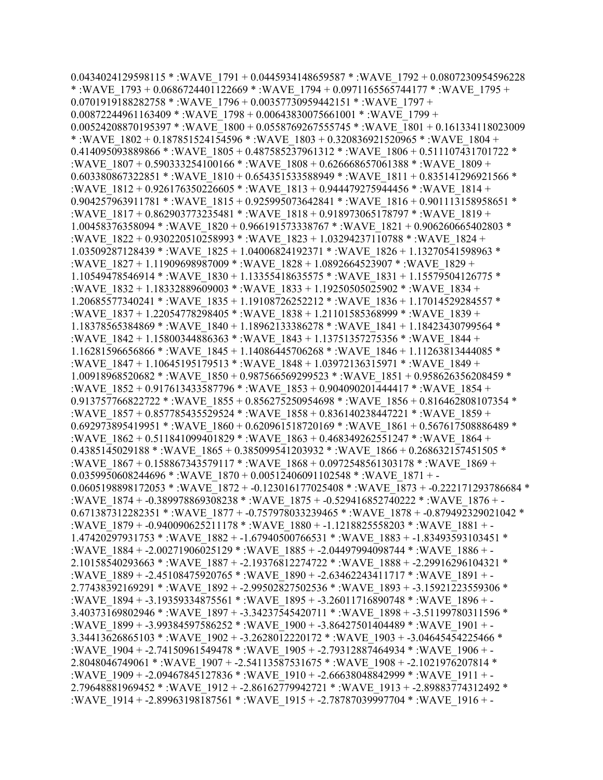0.0434024129598115 \* :WAVE\_1791 + 0.0445934148659587 \* :WAVE\_1792 + 0.0807230954596228 \* :WAVE\_1793 + 0.0686724401122669 \* :WAVE\_1794 + 0.0971165565744177 \* :WAVE\_1795 + 0.0701919188282758 \*: WAVE\_1796 + 0.00357730959442151 \*: WAVE\_1797 +  $0.00872244961163409 * :WAVE 1798 + 0.00643830075661001 * :WAVE 1799 +$ 0.00524208870195397 \* :WAVE\_1800 + 0.0558769267555745 \* :WAVE\_1801 + 0.161334118023009 \* :WAVE\_1802 + 0.187851524154596 \* :WAVE\_1803 + 0.320836921520965 \* :WAVE\_1804 + 0.414095093889866 \* :WAVE\_1805 + 0.487585237961312 \* :WAVE\_1806 + 0.511107431701722 \* :WAVE\_1807 + 0.590333254100166 \* :WAVE\_1808 + 0.626668657061388 \* :WAVE\_1809 + 0.603380867322851 \* :WAVE\_1810 + 0.654351533588949 \* :WAVE\_1811 + 0.835141296921566 \* :WAVE\_1812 + 0.926176350226605 \* :WAVE\_1813 + 0.944479275944456 \* :WAVE\_1814 + 0.904257963911781 \* :WAVE\_1815 + 0.925995073642841 \* :WAVE\_1816 + 0.901113158958651 \* :WAVE\_1817 + 0.862903773235481 \* :WAVE\_1818 + 0.918973065178797 \* :WAVE\_1819 + 1.00458376358094 \* :WAVE\_1820 + 0.966191573338767 \* :WAVE\_1821 + 0.906260665402803 \* :WAVE\_1822 + 0.930220510258993 \* :WAVE\_1823 + 1.03294237110788 \* :WAVE\_1824 + 1.03509287128439 \* :WAVE\_1825 + 1.04006824192371 \* :WAVE\_1826 + 1.13270541598963 \* :WAVE\_1827 + 1.11909698987009 \* :WAVE\_1828 + 1.0892664523907 \* :WAVE\_1829 + 1.10549478546914 \* :WAVE\_1830 + 1.13355418635575 \* :WAVE\_1831 + 1.15579504126775 \* :WAVE\_1832 + 1.18332889609003 \* :WAVE\_1833 + 1.19250505025902 \* :WAVE\_1834 + 1.20685577340241 \* :WAVE\_1835 + 1.19108726252212 \* :WAVE\_1836 + 1.17014529284557 \* :WAVE\_1837 + 1.22054778298405 \* :WAVE\_1838 + 1.21101585368999 \* :WAVE\_1839 + 1.18378565384869 \* :WAVE\_1840 + 1.18962133386278 \* :WAVE\_1841 + 1.18423430799564 \* :WAVE\_1842 + 1.15800344886363 \* :WAVE\_1843 + 1.13751357275356 \* :WAVE\_1844 + 1.16281596656866 \* :WAVE\_1845 + 1.14086445706268 \* :WAVE\_1846 + 1.11263813444085 \* :WAVE\_1847 + 1.10645195179513 \* :WAVE\_1848 + 1.03972136315971 \* :WAVE\_1849 + 1.00918968520682 \* :WAVE\_1850 + 0.987566569299523 \* :WAVE\_1851 + 0.958626356208459 \* :WAVE\_1852 + 0.917613433587796 \* :WAVE\_1853 + 0.904090201444417 \* :WAVE\_1854 + 0.913757766822722 \* :WAVE\_1855 + 0.856275250954698 \* :WAVE\_1856 + 0.816462808107354 \* :WAVE\_1857 + 0.857785435529524 \* :WAVE\_1858 + 0.836140238447221 \* :WAVE\_1859 + 0.692973895419951 \* :WAVE\_1860 + 0.620961518720169 \* :WAVE\_1861 + 0.567617508886489 \* :WAVE\_1862 + 0.511841099401829 \* :WAVE\_1863 + 0.468349262551247 \* :WAVE\_1864 + 0.4385145029188 \* :WAVE\_1865 + 0.385099541203932 \* :WAVE\_1866 + 0.268632157451505 \* :WAVE\_1867 + 0.158867343579117 \* :WAVE\_1868 + 0.0972548561303178 \* :WAVE\_1869 +  $0.0359950608244696$  \* :WAVE  $1870 + 0.00512406091102548$  \* :WAVE  $1871 + -$ 0.0605198898172053 \* :WAVE\_1872 + -0.123016177025408 \* :WAVE\_1873 + -0.222171293786684 \* :WAVE\_1874 + -0.389978869308238 \* :WAVE\_1875 + -0.529416852740222 \* :WAVE\_1876 + - 0.671387312282351 \* :WAVE\_1877 + -0.757978033239465 \* :WAVE\_1878 + -0.879492329021042 \* :WAVE\_1879 + -0.940090625211178 \* :WAVE\_1880 + -1.1218825558203 \* :WAVE\_1881 + - 1.47420297931753 \* :WAVE\_1882 + -1.67940500766531 \* :WAVE\_1883 + -1.83493593103451 \* :WAVE\_1884 + -2.00271906025129 \* :WAVE\_1885 + -2.04497994098744 \* :WAVE\_1886 + - 2.10158540293663 \* :WAVE\_1887 + -2.19376812274722 \* :WAVE\_1888 + -2.29916296104321 \* :WAVE\_1889 + -2.45108475920765 \* :WAVE\_1890 + -2.63462243411717 \* :WAVE\_1891 + - 2.77438392169291 \* :WAVE\_1892 + -2.99502827502536 \* :WAVE\_1893 + -3.15921223559306 \* :WAVE\_1894 + -3.19359334875561 \* :WAVE\_1895 + -3.26011716890748 \* :WAVE\_1896 + - 3.40373169802946 \* :WAVE\_1897 + -3.34237545420711 \* :WAVE\_1898 + -3.51199780311596 \* :WAVE\_1899 + -3.99384597586252 \* :WAVE\_1900 + -3.86427501404489 \* :WAVE\_1901 + - 3.34413626865103 \* :WAVE\_1902 + -3.2628012220172 \* :WAVE\_1903 + -3.04645454225466 \* :WAVE\_1904 + -2.74150961549478 \* :WAVE\_1905 + -2.79312887464934 \* :WAVE\_1906 + - 2.8048046749061 \* :WAVE\_1907 + -2.54113587531675 \* :WAVE\_1908 + -2.1021976207814 \* :WAVE\_1909 + -2.09467845127836 \* :WAVE\_1910 + -2.66638048842999 \* :WAVE\_1911 + - 2.79648881969452 \* :WAVE\_1912 + -2.86162779942721 \* :WAVE\_1913 + -2.89883774312492 \* :WAVE\_1914 + -2.89963198187561 \* :WAVE\_1915 + -2.78787039997704 \* :WAVE\_1916 + -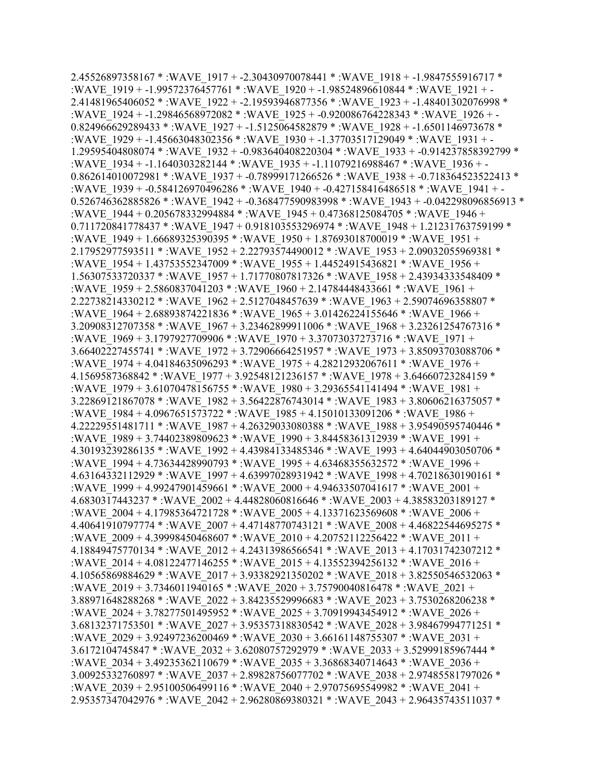2.45526897358167 \* :WAVE\_1917 + -2.30430970078441 \* :WAVE\_1918 + -1.9847555916717 \* :WAVE\_1919 + -1.99572376457761 \* :WAVE\_1920 + -1.98524896610844 \* :WAVE\_1921 + - 2.41481965406052 \* :WAVE\_1922 + -2.19593946877356 \* :WAVE\_1923 + -1.48401302076998 \* :WAVE\_1924 + -1.29846568972082 \* :WAVE\_1925 + -0.920086764228343 \* :WAVE\_1926 + -  $0.824966629289433 * :WAVE$  1927 + -1.5125064582879 \* :WAVE 1928 + -1.6501146973678 \* :WAVE\_1929 + -1.45663048302356 \* :WAVE\_1930 + -1.37703517129049 \* :WAVE\_1931 + - 1.29595404808074 \* :WAVE\_1932 + -0.983640408220304 \* :WAVE\_1933 + -0.914237858392799 \* :WAVE\_1934 + -1.1640303282144 \* :WAVE\_1935 + -1.11079216988467 \* :WAVE\_1936 + - 0.862614010072981 \* :WAVE\_1937 + -0.78999171266526 \* :WAVE\_1938 + -0.718364523522413 \* :WAVE\_1939 + -0.584126970496286 \* :WAVE\_1940 + -0.427158416486518 \* :WAVE\_1941 + - 0.526746362885826 \* :WAVE\_1942 + -0.368477590983998 \* :WAVE\_1943 + -0.042298096856913 \* :WAVE\_1944 + 0.205678332994884 \* :WAVE\_1945 + 0.47368125084705 \* :WAVE\_1946 + 0.711720841778437 \* :WAVE\_1947 + 0.918103553296974 \* :WAVE\_1948 + 1.21231763759199 \* :WAVE\_1949 + 1.66689325390395 \* :WAVE\_1950 + 1.87693018700019 \* :WAVE\_1951 + 2.17952977593511 \* :WAVE\_1952 + 2.22793574490012 \* :WAVE\_1953 + 2.09032055969381 \* :WAVE\_1954 + 1.43753552347009 \* :WAVE\_1955 + 1.44524915436821 \* :WAVE\_1956 + 1.56307533720337 \* :WAVE\_1957 + 1.71770807817326 \* :WAVE\_1958 + 2.43934333548409 \* :WAVE\_1959 + 2.5860837041203 \* :WAVE\_1960 + 2.14784448433661 \* :WAVE\_1961 + 2.22738214330212 \* :WAVE\_1962 + 2.5127048457639 \* :WAVE\_1963 + 2.59074696358807 \* :WAVE\_1964 + 2.68893874221836 \* :WAVE\_1965 + 3.01426224155646 \* :WAVE\_1966 + 3.20908312707358 \* :WAVE\_1967 + 3.23462899911006 \* :WAVE\_1968 + 3.23261254767316 \* :WAVE\_1969 + 3.1797927709906 \* :WAVE\_1970 + 3.37073037273716 \* :WAVE\_1971 + 3.66402227455741 \* :WAVE\_1972 + 3.72906664251957 \* :WAVE\_1973 + 3.85093703088706 \* :WAVE\_1974 + 4.04184635096293 \* :WAVE\_1975 + 4.28212932067611 \* :WAVE\_1976 + 4.1569587368842 \* :WAVE\_1977 + 3.92548121236157 \* :WAVE\_1978 + 3.64660723284159 \* :WAVE\_1979 + 3.61070478156755 \* :WAVE\_1980 + 3.29365541141494 \* :WAVE\_1981 + 3.22869121867078 \* :WAVE\_1982 + 3.56422876743014 \* :WAVE\_1983 + 3.80606216375057 \* :WAVE\_1984 + 4.0967651573722 \* :WAVE\_1985 + 4.15010133091206 \* :WAVE\_1986 + 4.22229551481711 \* :WAVE\_1987 + 4.26329033080388 \* :WAVE\_1988 + 3.95490595740446 \* :WAVE\_1989 + 3.74402389809623 \* :WAVE\_1990 + 3.84458361312939 \* :WAVE\_1991 + 4.30193239286135 \* :WAVE\_1992 + 4.43984133485346 \* :WAVE\_1993 + 4.64044903050706 \* :WAVE\_1994 + 4.73634428990793 \* :WAVE\_1995 + 4.63468355632572 \* :WAVE\_1996 + 4.63164332112929 \* :WAVE\_1997 + 4.63997028931942 \* :WAVE\_1998 + 4.70218630190161 \* :WAVE\_1999 + 4.99247901459661 \* :WAVE\_2000 + 4.94633507041617 \* :WAVE\_2001 + 4.6830317443237 \* :WAVE\_2002 + 4.44828060816646 \* :WAVE\_2003 + 4.38583203189127 \* :WAVE\_2004 + 4.17985364721728 \* :WAVE\_2005 + 4.13371623569608 \* :WAVE\_2006 + 4.40641910797774 \* :WAVE\_2007 + 4.47148770743121 \* :WAVE\_2008 + 4.46822544695275 \* :WAVE\_2009 + 4.39998450468607 \* :WAVE\_2010 + 4.20752112256422 \* :WAVE\_2011 + 4.18849475770134 \* :WAVE\_2012 + 4.24313986566541 \* :WAVE\_2013 + 4.17031742307212 \* :WAVE\_2014 + 4.08122477146255 \* :WAVE\_2015 + 4.13552394256132 \* :WAVE\_2016 + 4.10565869884629 \* :WAVE\_2017 + 3.93382921350202 \* :WAVE\_2018 + 3.82550546532063 \* :WAVE\_2019 + 3.7346011940165 \* :WAVE\_2020 + 3.75790040816478 \* :WAVE\_2021 + 3.88971648288268 \* :WAVE\_2022 + 3.84235529996683 \* :WAVE\_2023 + 3.7530268206238 \* :WAVE\_2024 + 3.78277501495952 \* :WAVE\_2025 + 3.70919943454912 \* :WAVE\_2026 + 3.68132371753501 \* :WAVE\_2027 + 3.95357318830542 \* :WAVE\_2028 + 3.98467994771251 \* :WAVE\_2029 + 3.92497236200469 \* :WAVE\_2030 + 3.66161148755307 \* :WAVE\_2031 + 3.6172104745847 \* :WAVE\_2032 + 3.62080757292979 \* :WAVE\_2033 + 3.52999185967444 \* :WAVE\_2034 + 3.49235362110679 \* :WAVE\_2035 + 3.36868340714643 \* :WAVE\_2036 + 3.00925332760897 \* :WAVE\_2037 + 2.89828756077702 \* :WAVE\_2038 + 2.97485581797026 \* :WAVE\_2039 + 2.95100506499116 \* :WAVE\_2040 + 2.97075695549982 \* :WAVE\_2041 + 2.95357347042976 \* :WAVE\_2042 + 2.96280869380321 \* :WAVE\_2043 + 2.96435743511037 \*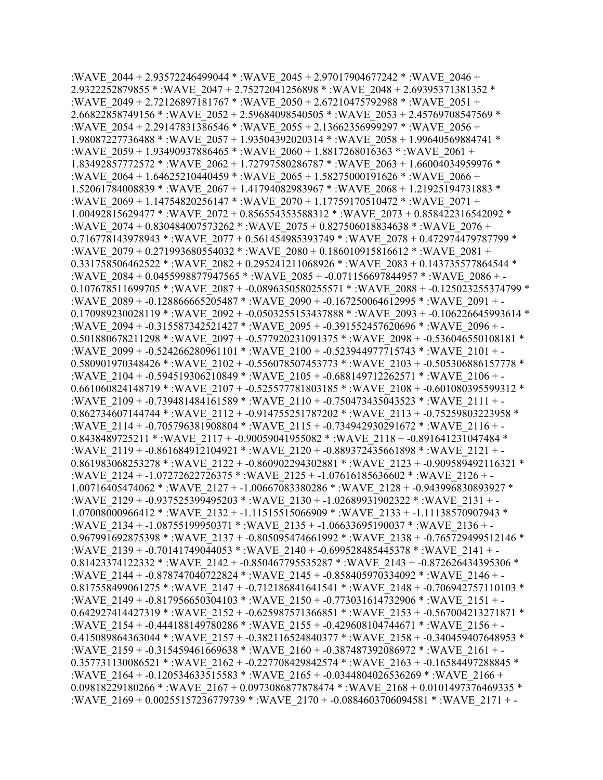:WAVE\_2044 + 2.93572246499044 \* :WAVE\_2045 + 2.97017904677242 \* :WAVE\_2046 + 2.9322252879855 \* :WAVE\_2047 + 2.75272041256898 \* :WAVE\_2048 + 2.69395371381352 \* :WAVE\_2049 + 2.72126897181767 \* :WAVE\_2050 + 2.67210475792988 \* :WAVE\_2051 + 2.66822858749156 \* :WAVE\_2052 + 2.59684098540505 \* :WAVE\_2053 + 2.45769708547569 \* :WAVE\_2054 + 2.29147831386546 \* :WAVE\_2055 + 2.13662356999297 \* :WAVE\_2056 + 1.98087227736488 \* :WAVE\_2057 + 1.93504392020314 \* :WAVE\_2058 + 1.99640569884741 \* :WAVE\_2059 + 1.93490937886465 \* :WAVE\_2060 + 1.8817268016363 \* :WAVE\_2061 + 1.83492857772572 \* :WAVE\_2062 + 1.72797580286787 \* :WAVE\_2063 + 1.66004034959976 \* :WAVE\_2064 + 1.64625210440459 \* :WAVE\_2065 + 1.58275000191626 \* :WAVE\_2066 + 1.52061784008839 \* :WAVE\_2067 + 1.41794082983967 \* :WAVE\_2068 + 1.21925194731883 \* :WAVE\_2069 + 1.14754820256147 \* :WAVE\_2070 + 1.17759170510472 \* :WAVE\_2071 + 1.00492815629477 \* :WAVE\_2072 + 0.856554353588312 \* :WAVE\_2073 + 0.858422316542092 \* :WAVE\_2074 + 0.830484007573262 \* :WAVE\_2075 + 0.827506018834638 \* :WAVE\_2076 + 0.716778143978943 \* :WAVE\_2077 + 0.561454985393749 \* :WAVE\_2078 + 0.472974479787799 \* :WAVE\_2079 + 0.271993680554032 \* :WAVE\_2080 + 0.186010915816612 \* :WAVE\_2081 + 0.331758506462522 \* :WAVE\_2082 + 0.295241211068926 \* :WAVE\_2083 + 0.143735577864544 \* :WAVE\_2084 + 0.0455998877947565 \* :WAVE\_2085 + -0.071156697844957 \* :WAVE\_2086 + -0.107678511699705 \* :WAVE\_2087 + -0.0896350580255571 \* :WAVE\_2088 + -0.125023255374799 \* :WAVE\_2089 + -0.128866665205487 \* :WAVE\_2090 + -0.167250064612995 \* :WAVE\_2091 + - 0.170989230028119 \* :WAVE\_2092 + -0.0503255153437888 \* :WAVE\_2093 + -0.106226645993614 \* :WAVE\_2094 + -0.315587342521427 \* :WAVE\_2095 + -0.391552457620696 \* :WAVE\_2096 + - 0.501880678211298 \* :WAVE\_2097 + -0.577920231091375 \* :WAVE\_2098 + -0.536046550108181 \* :WAVE\_2099 + -0.524266280961101 \* :WAVE\_2100 + -0.523944977715743 \* :WAVE\_2101 + - 0.580901970348426 \* :WAVE\_2102 + -0.556078507453773 \* :WAVE\_2103 + -0.505306886157778 \* :WAVE\_2104 + -0.594519306210849 \* :WAVE\_2105 + -0.688149712262571 \* :WAVE\_2106 + - 0.661060824148719 \* :WAVE\_2107 + -0.525577781803185 \* :WAVE\_2108 + -0.601080395599312 \* :WAVE\_2109 + -0.739481484161589 \* :WAVE\_2110 + -0.750473435043523 \* :WAVE\_2111 + - 0.862734607144744 \* :WAVE\_2112 + -0.914755251787202 \* :WAVE\_2113 + -0.75259803223958 \* :WAVE\_2114 + -0.705796381908804 \* :WAVE\_2115 + -0.734942930291672 \* :WAVE\_2116 + - 0.8438489725211 \*: WAVE\_2117 + -0.90059041955082 \*: WAVE\_2118 + -0.891641231047484 \* :WAVE\_2119 + -0.861684912104921 \* :WAVE\_2120 + -0.889372435661898 \* :WAVE\_2121 + - 0.861983068253278 \* :WAVE\_2122 + -0.860902294302881 \* :WAVE\_2123 + -0.909589492116321 \* :WAVE\_2124 + -1.07272622726375 \* :WAVE\_2125 + -1.07616185636602 \* :WAVE\_2126 + - 1.00716405474062 \* :WAVE\_2127 + -1.00667083380286 \* :WAVE\_2128 + -0.943996830893927 \* :WAVE\_2129 + -0.937525399495203 \* :WAVE\_2130 + -1.02689931902322 \* :WAVE\_2131 + - 1.07008000966412 \* :WAVE\_2132 + -1.11515515066909 \* :WAVE\_2133 + -1.11138570907943 \* :WAVE\_2134 + -1.08755199950371 \* :WAVE\_2135 + -1.06633695190037 \* :WAVE\_2136 + - 0.967991692875398 \* :WAVE\_2137 + -0.805095474661992 \* :WAVE\_2138 + -0.765729499512146 \* :WAVE\_2139 + -0.70141749044053 \* :WAVE\_2140 + -0.699528485445378 \* :WAVE\_2141 + - 0.81423374122332 \* :WAVE\_2142 + -0.850467795535287 \* :WAVE\_2143 + -0.872626434395306 \* :WAVE\_2144 + -0.878747040722824 \* :WAVE\_2145 + -0.858405970334092 \* :WAVE\_2146 + - 0.817558499061275 \* :WAVE\_2147 + -0.712186841641541 \* :WAVE\_2148 + -0.706942757110103 \* :WAVE\_2149 + -0.817956650304103 \* :WAVE\_2150 + -0.773031614732906 \* :WAVE\_2151 + - 0.642927414427319 \* :WAVE\_2152 + -0.625987571366851 \* :WAVE\_2153 + -0.567004213271871 \* :WAVE\_2154 + -0.444188149780286 \* :WAVE\_2155 + -0.429608104744671 \* :WAVE\_2156 + - 0.415089864363044 \* :WAVE\_2157 + -0.382116524840377 \* :WAVE\_2158 + -0.340459407648953 \* :WAVE\_2159 + -0.315459461669638 \* :WAVE\_2160 + -0.387487392086972 \* :WAVE\_2161 + - 0.357731130086521 \* :WAVE\_2162 + -0.227708429842574 \* :WAVE\_2163 + -0.16584497288845 \* :WAVE\_2164 + -0.120534633515583 \* :WAVE\_2165 + -0.0344804026536269 \* :WAVE\_2166 + 0.09818229180266 \* :WAVE\_2167 + 0.0973086877878474 \* :WAVE\_2168 + 0.0101497376469335 \* :WAVE\_2169 + 0.00255157236779739 \* :WAVE\_2170 + -0.0884603706094581 \* :WAVE\_2171 + -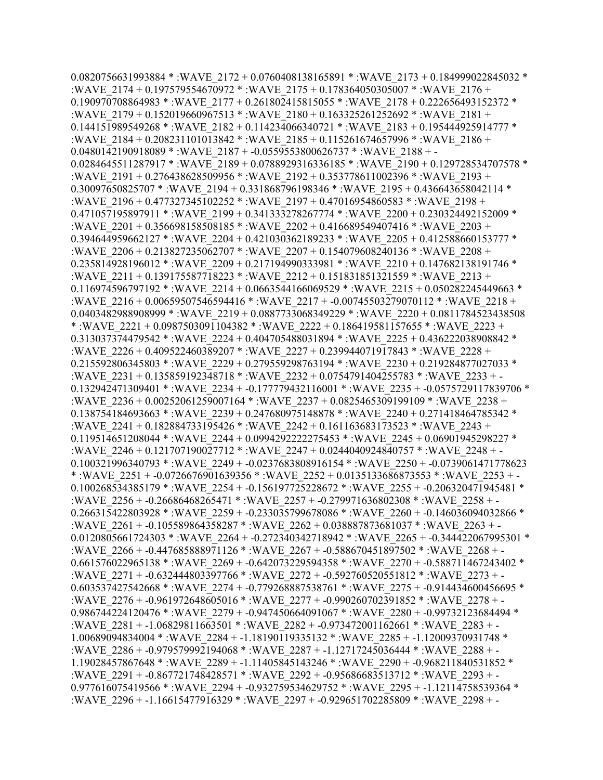$0.0820756631993884 *$ :WAVE  $2172 + 0.0760408138165891 *$ :WAVE  $2173 + 0.184999022845032 *$ :WAVE\_2174 + 0.197579554670972 \* :WAVE\_2175 + 0.178364050305007 \* :WAVE\_2176 + 0.190970708864983 \* :WAVE\_2177 + 0.261802415815055 \* :WAVE\_2178 + 0.222656493152372 \* :WAVE\_2179 + 0.152019660967513 \* :WAVE\_2180 + 0.163325261252692 \* :WAVE\_2181 +  $0.144151989549268 * :$ WAVE  $2182 + 0.114234066340721 * :$ WAVE  $2183 + 0.195444925914777 *$ :WAVE\_2184 + 0.208231101013842 \* :WAVE\_2185 + 0.115261674657996 \* :WAVE\_2186 + 0.0480142190918089 \* :WAVE\_2187 + -0.0559553800626737 \* :WAVE\_2188 + -0.0284645511287917 \* :WAVE\_2189 + 0.0788929316336185 \* :WAVE\_2190 + 0.129728534707578 \* :WAVE\_2191 + 0.276438628509956 \* :WAVE\_2192 + 0.353778611002396 \* :WAVE\_2193 + 0.30097650825707 \* :WAVE\_2194 + 0.331868796198346 \* :WAVE\_2195 + 0.436643658042114 \* :WAVE\_2196 + 0.477327345102252 \* :WAVE\_2197 + 0.47016954860583 \* :WAVE\_2198 + 0.471057195897911 \* :WAVE\_2199 + 0.341333278267774 \* :WAVE\_2200 + 0.230324492152009 \* :WAVE\_2201 + 0.356698158508185 \* :WAVE\_2202 + 0.416689549407416 \* :WAVE\_2203 + 0.394644959662127 \* :WAVE\_2204 + 0.421030362189233 \* :WAVE\_2205 + 0.412588660153777 \* :WAVE\_2206 + 0.213827235062707 \* :WAVE\_2207 + 0.154079608240136 \* :WAVE\_2208 + 0.235814928196012 \* :WAVE\_2209 + 0.217194990333981 \* :WAVE\_2210 + 0.147682138191746 \* :WAVE\_2211 + 0.139175587718223 \* :WAVE\_2212 + 0.151831851321559 \* :WAVE\_2213 + 0.116974596797192 \* :WAVE\_2214 + 0.0663544166069529 \* :WAVE\_2215 + 0.050282245449663 \* :WAVE\_2216 + 0.00659507546594416 \* :WAVE\_2217 + -0.00745503279070112 \* :WAVE\_2218 + 0.0403482988908999 \* :WAVE\_2219 + 0.0887733068349229 \* :WAVE\_2220 + 0.0811784523438508 \* :WAVE\_2221 + 0.0987503091104382 \* :WAVE\_2222 + 0.186419581157655 \* :WAVE\_2223 + 0.313037374479542 \* :WAVE\_2224 + 0.404705488031894 \* :WAVE\_2225 + 0.436222038908842 \* :WAVE\_2226 + 0.409522460389207 \* :WAVE\_2227 + 0.239944071917843 \* :WAVE\_2228 + 0.215592806345803 \* :WAVE\_2229 + 0.279559298763194 \* :WAVE\_2230 + 0.219284877027033 \* :WAVE\_2231 + 0.135859192348718 \* :WAVE\_2232 + 0.0754791404255783 \* :WAVE\_2233 + - 0.132942471309401 \* :WAVE\_2234 + -0.177779432116001 \* :WAVE\_2235 + -0.0575729117839706 \* :WAVE\_2236 + 0.00252061259007164 \* :WAVE\_2237 + 0.0825465309199109 \* :WAVE\_2238 + 0.138754184693663 \* :WAVE\_2239 + 0.247680975148878 \* :WAVE\_2240 + 0.271418464785342 \* :WAVE\_2241 + 0.182884733195426 \* :WAVE\_2242 + 0.161163683173523 \* :WAVE\_2243 + 0.119514651208044 \* :WAVE\_2244 + 0.0994292222275453 \* :WAVE\_2245 + 0.06901945298227 \* :WAVE\_2246 + 0.121707190027712 \* :WAVE\_2247 + 0.0244040924840757 \* :WAVE\_2248 + - 0.100321996340793 \* :WAVE\_2249 + -0.0237683808916154 \* :WAVE\_2250 + -0.0739061471778623 \* :WAVE\_2251 + -0.0726676901639356 \* :WAVE\_2252 + 0.0135133686873553 \* :WAVE\_2253 + - 0.100268534385179 \* :WAVE\_2254 + -0.156197725228672 \* :WAVE\_2255 + -0.206320471945481 \* :WAVE\_2256 + -0.26686468265471 \* :WAVE\_2257 + -0.279971636802308 \* :WAVE\_2258 + - 0.266315422803928 \* :WAVE\_2259 + -0.233035799678086 \* :WAVE\_2260 + -0.146036094032866 \* :WAVE\_2261 + -0.105589864358287 \* :WAVE\_2262 + 0.038887873681037 \* :WAVE\_2263 + - 0.0120805661724303 \* :WAVE\_2264 + -0.272340342718942 \* :WAVE\_2265 + -0.344422067995301 \* :WAVE\_2266 + -0.447685888971126 \* :WAVE\_2267 + -0.588670451897502 \* :WAVE\_2268 + - 0.661576022965138 \* :WAVE\_2269 + -0.642073229594358 \* :WAVE\_2270 + -0.588711467243402 \* :WAVE\_2271 + -0.632444803397766 \* :WAVE\_2272 + -0.592760520551812 \* :WAVE\_2273 + - 0.603537427542668 \* :WAVE\_2274 + -0.779268887538761 \* :WAVE\_2275 + -0.914434600456695 \* :WAVE\_2276 + -0.961972648605016 \* :WAVE\_2277 + -0.990260702391852 \* :WAVE\_2278 + - 0.986744224120476 \* :WAVE\_2279 + -0.947450664091067 \* :WAVE\_2280 + -0.99732123684494 \* :WAVE\_2281 + -1.06829811663501 \* :WAVE\_2282 + -0.973472001162661 \* :WAVE\_2283 + - 1.00689094834004 \* :WAVE\_2284 + -1.18190119335132 \* :WAVE\_2285 + -1.12009370931748 \* :WAVE\_2286 + -0.979579992194068 \* :WAVE\_2287 + -1.12717245036444 \* :WAVE\_2288 + - 1.19028457867648 \* :WAVE\_2289 + -1.11405845143246 \* :WAVE\_2290 + -0.968211840531852 \* :WAVE\_2291 + -0.867721748428571 \* :WAVE\_2292 + -0.95686683513712 \* :WAVE\_2293 + - 0.977616075419566 \* :WAVE\_2294 + -0.932759534629752 \* :WAVE\_2295 + -1.12114758539364 \* :WAVE\_2296 + -1.16615477916329 \* :WAVE\_2297 + -0.929651702285809 \* :WAVE\_2298 + -